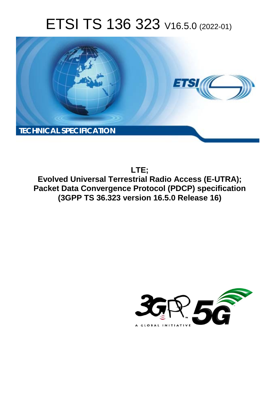# ETSI TS 136 323 V16.5.0 (2022-01)



**LTE; Evolved Universal Terrestrial Radio Access (E-UTRA); Packet Data Convergence Protocol (PDCP) specification (3GPP TS 36.323 version 16.5.0 Release 16)** 

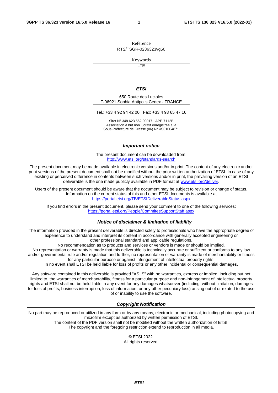Reference RTS/TSGR-0236323vg50

Keywords

**LTE** 

#### *ETSI*

650 Route des Lucioles F-06921 Sophia Antipolis Cedex - FRANCE

Tel.: +33 4 92 94 42 00 Fax: +33 4 93 65 47 16

Siret N° 348 623 562 00017 - APE 7112B Association à but non lucratif enregistrée à la Sous-Préfecture de Grasse (06) N° w061004871

#### *Important notice*

The present document can be downloaded from: <http://www.etsi.org/standards-search>

The present document may be made available in electronic versions and/or in print. The content of any electronic and/or print versions of the present document shall not be modified without the prior written authorization of ETSI. In case of any existing or perceived difference in contents between such versions and/or in print, the prevailing version of an ETSI deliverable is the one made publicly available in PDF format at [www.etsi.org/deliver](http://www.etsi.org/deliver).

Users of the present document should be aware that the document may be subject to revision or change of status. Information on the current status of this and other ETSI documents is available at <https://portal.etsi.org/TB/ETSIDeliverableStatus.aspx>

If you find errors in the present document, please send your comment to one of the following services: <https://portal.etsi.org/People/CommiteeSupportStaff.aspx>

#### *Notice of disclaimer & limitation of liability*

The information provided in the present deliverable is directed solely to professionals who have the appropriate degree of experience to understand and interpret its content in accordance with generally accepted engineering or other professional standard and applicable regulations.

No recommendation as to products and services or vendors is made or should be implied.

No representation or warranty is made that this deliverable is technically accurate or sufficient or conforms to any law and/or governmental rule and/or regulation and further, no representation or warranty is made of merchantability or fitness for any particular purpose or against infringement of intellectual property rights.

In no event shall ETSI be held liable for loss of profits or any other incidental or consequential damages.

Any software contained in this deliverable is provided "AS IS" with no warranties, express or implied, including but not limited to, the warranties of merchantability, fitness for a particular purpose and non-infringement of intellectual property rights and ETSI shall not be held liable in any event for any damages whatsoever (including, without limitation, damages for loss of profits, business interruption, loss of information, or any other pecuniary loss) arising out of or related to the use of or inability to use the software.

#### *Copyright Notification*

No part may be reproduced or utilized in any form or by any means, electronic or mechanical, including photocopying and microfilm except as authorized by written permission of ETSI. The content of the PDF version shall not be modified without the written authorization of ETSI.

The copyright and the foregoing restriction extend to reproduction in all media.

© ETSI 2022. All rights reserved.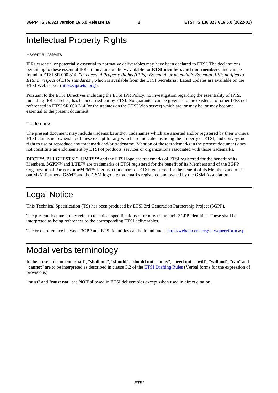## Intellectual Property Rights

#### Essential patents

IPRs essential or potentially essential to normative deliverables may have been declared to ETSI. The declarations pertaining to these essential IPRs, if any, are publicly available for **ETSI members and non-members**, and can be found in ETSI SR 000 314: *"Intellectual Property Rights (IPRs); Essential, or potentially Essential, IPRs notified to ETSI in respect of ETSI standards"*, which is available from the ETSI Secretariat. Latest updates are available on the ETSI Web server ([https://ipr.etsi.org/\)](https://ipr.etsi.org/).

Pursuant to the ETSI Directives including the ETSI IPR Policy, no investigation regarding the essentiality of IPRs, including IPR searches, has been carried out by ETSI. No guarantee can be given as to the existence of other IPRs not referenced in ETSI SR 000 314 (or the updates on the ETSI Web server) which are, or may be, or may become, essential to the present document.

#### **Trademarks**

The present document may include trademarks and/or tradenames which are asserted and/or registered by their owners. ETSI claims no ownership of these except for any which are indicated as being the property of ETSI, and conveys no right to use or reproduce any trademark and/or tradename. Mention of those trademarks in the present document does not constitute an endorsement by ETSI of products, services or organizations associated with those trademarks.

**DECT™**, **PLUGTESTS™**, **UMTS™** and the ETSI logo are trademarks of ETSI registered for the benefit of its Members. **3GPP™** and **LTE™** are trademarks of ETSI registered for the benefit of its Members and of the 3GPP Organizational Partners. **oneM2M™** logo is a trademark of ETSI registered for the benefit of its Members and of the oneM2M Partners. **GSM**® and the GSM logo are trademarks registered and owned by the GSM Association.

## Legal Notice

This Technical Specification (TS) has been produced by ETSI 3rd Generation Partnership Project (3GPP).

The present document may refer to technical specifications or reports using their 3GPP identities. These shall be interpreted as being references to the corresponding ETSI deliverables.

The cross reference between 3GPP and ETSI identities can be found under<http://webapp.etsi.org/key/queryform.asp>.

## Modal verbs terminology

In the present document "**shall**", "**shall not**", "**should**", "**should not**", "**may**", "**need not**", "**will**", "**will not**", "**can**" and "**cannot**" are to be interpreted as described in clause 3.2 of the [ETSI Drafting Rules](https://portal.etsi.org/Services/editHelp!/Howtostart/ETSIDraftingRules.aspx) (Verbal forms for the expression of provisions).

"**must**" and "**must not**" are **NOT** allowed in ETSI deliverables except when used in direct citation.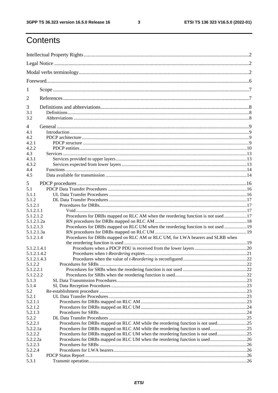$\mathbf{3}$ 

## Contents

| 1                |                                                                                   |  |
|------------------|-----------------------------------------------------------------------------------|--|
| $\overline{2}$   |                                                                                   |  |
| 3                |                                                                                   |  |
| 3.1<br>3.2       |                                                                                   |  |
| 4                |                                                                                   |  |
| 4.1              |                                                                                   |  |
| 4.2              |                                                                                   |  |
| 4.2.1            |                                                                                   |  |
| 4.2.2            |                                                                                   |  |
| 4.3              |                                                                                   |  |
| 4.3.1            |                                                                                   |  |
| 4.3.2            |                                                                                   |  |
| 4.4              |                                                                                   |  |
| 4.5              |                                                                                   |  |
| 5                |                                                                                   |  |
| 5.1              |                                                                                   |  |
| 5.1.1            |                                                                                   |  |
| 5.1.2            |                                                                                   |  |
| 5.1.2.1          |                                                                                   |  |
| 5.1.2.1.1        |                                                                                   |  |
| 5.1.2.1.2        | Procedures for DRBs mapped on RLC AM when the reordering function is not used 17  |  |
| 5.1.2.1.2a       |                                                                                   |  |
| 5.1.2.1.3        | Procedures for DRBs mapped on RLC UM when the reordering function is not used  19 |  |
| 5.1.2.1.3a       |                                                                                   |  |
| 5.1.2.1.4        | Procedures for DRBs mapped on RLC AM or RLC UM, for LWA bearers and SLRB when     |  |
|                  |                                                                                   |  |
| 5.1.2.1.4.1      |                                                                                   |  |
| 5.1.2.1.4.2      |                                                                                   |  |
| 5.1.2.1.4.3      |                                                                                   |  |
| 5.1.2.2          |                                                                                   |  |
| 5.1.2.2.1        |                                                                                   |  |
| 5.1.2.2.2        |                                                                                   |  |
| 5.1.3            |                                                                                   |  |
| 5.1.4            |                                                                                   |  |
| 5.2              |                                                                                   |  |
| 5.2.1<br>5.2.1.1 |                                                                                   |  |
| 5.2.1.2          |                                                                                   |  |
| 5.2.1.3          |                                                                                   |  |
| 5.2.2            |                                                                                   |  |
| 5.2.2.1          | Procedures for DRBs mapped on RLC AM while the reordering function is not used25  |  |
| 5.2.2.1a         | Procedures for DRBs mapped on RLC AM while the reordering function is used25      |  |
| 5.2.2.2          | Procedures for DRBs mapped on RLC UM when the reordering function is not used25   |  |
| 5.2.2.2a         |                                                                                   |  |
| 5.2.2.3          |                                                                                   |  |
| 5.2.2.4          |                                                                                   |  |
| 5.3              |                                                                                   |  |
| 5.3.1            |                                                                                   |  |
|                  |                                                                                   |  |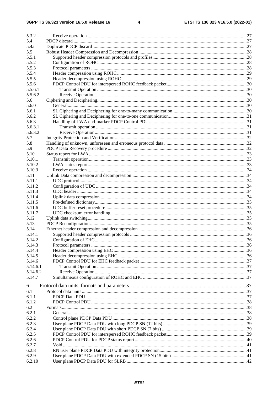| 5.3.2<br>5.4     |  |
|------------------|--|
|                  |  |
| 5.4a<br>5.5      |  |
| 5.5.1            |  |
| 5.5.2            |  |
| 5.5.3            |  |
|                  |  |
| 5.5.4            |  |
| 5.5.5            |  |
| 5.5.6            |  |
| 5.5.6.1          |  |
| 5.5.6.2          |  |
| 5.6              |  |
| 5.6.0            |  |
| 5.6.1            |  |
| 5.6.2<br>5.6.3   |  |
| 5.6.3.1          |  |
| 5.6.3.2          |  |
|                  |  |
| 5.7              |  |
| 5.8              |  |
| 5.9              |  |
| 5.10             |  |
| 5.10.1           |  |
| 5.10.2           |  |
| 5.10.3           |  |
| 5.11             |  |
| 5.11.1           |  |
| 5.11.2           |  |
| 5.11.3           |  |
| 5.11.4           |  |
| 5.11.5           |  |
| 5.11.6           |  |
| 5.11.7           |  |
| 5.12             |  |
| 5.13             |  |
| 5.14             |  |
| 5.14.1           |  |
| 5.14.2<br>5.14.3 |  |
|                  |  |
| 5.14.4           |  |
| 5.14.5           |  |
| 5.14.6           |  |
| 5.14.6.1         |  |
| 5.14.6.2         |  |
| 5.14.7           |  |
| 6                |  |
| 6.1              |  |
| 6.1.1            |  |
| 6.1.2            |  |
| 6.2              |  |
| 6.2.1            |  |
| 6.2.2            |  |
| 6.2.3            |  |
| 6.2.4            |  |
| 6.2.5            |  |
| 6.2.6            |  |
| 6.2.7            |  |
| 6.2.8            |  |
| 6.2.9            |  |
| 6.2.10           |  |
|                  |  |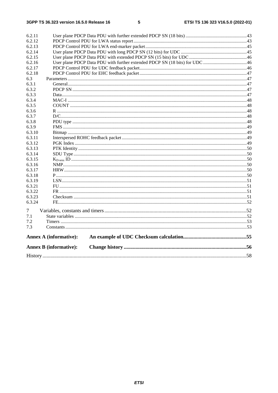|        | <b>Annex B</b> (informative): |  |
|--------|-------------------------------|--|
|        | <b>Annex A (informative):</b> |  |
| 7.3    |                               |  |
| 7.2    |                               |  |
| 7.1    |                               |  |
|        |                               |  |
| 7      |                               |  |
| 6.3.24 |                               |  |
| 6.3.23 |                               |  |
| 6.3.22 |                               |  |
| 6.3.21 |                               |  |
| 6.3.19 |                               |  |
| 6.3.18 |                               |  |
| 6.3.17 |                               |  |
| 6.3.16 |                               |  |
| 6.3.15 |                               |  |
| 6.3.14 |                               |  |
| 6.3.13 |                               |  |
| 6.3.12 |                               |  |
| 6.3.11 |                               |  |
| 6.3.10 |                               |  |
| 6.3.9  |                               |  |
| 6.3.8  |                               |  |
| 6.3.7  |                               |  |
| 6.3.6  |                               |  |
| 6.3.5  |                               |  |
| 6.3.4  |                               |  |
| 6.3.3  |                               |  |
| 6.3.2  |                               |  |
| 6.3.1  |                               |  |
| 6.3    |                               |  |
| 6.2.18 |                               |  |
| 6.2.17 |                               |  |
| 6.2.16 |                               |  |
| 6.2.15 |                               |  |
| 6.2.14 |                               |  |
| 6.2.13 |                               |  |
| 6.2.12 |                               |  |
| 6.2.11 |                               |  |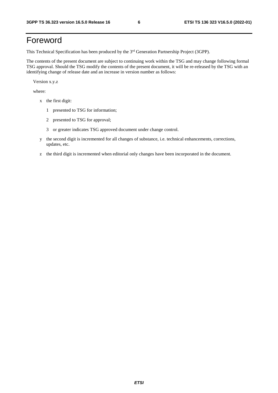## Foreword

This Technical Specification has been produced by the 3<sup>rd</sup> Generation Partnership Project (3GPP).

The contents of the present document are subject to continuing work within the TSG and may change following formal TSG approval. Should the TSG modify the contents of the present document, it will be re-released by the TSG with an identifying change of release date and an increase in version number as follows:

Version x.y.z

where:

- x the first digit:
	- 1 presented to TSG for information;
	- 2 presented to TSG for approval;
	- 3 or greater indicates TSG approved document under change control.
- y the second digit is incremented for all changes of substance, i.e. technical enhancements, corrections, updates, etc.
- z the third digit is incremented when editorial only changes have been incorporated in the document.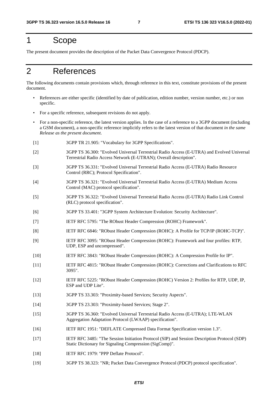## 1 Scope

The present document provides the description of the Packet Data Convergence Protocol (PDCP).

## 2 References

The following documents contain provisions which, through reference in this text, constitute provisions of the present document.

- References are either specific (identified by date of publication, edition number, version number, etc.) or non specific.
- For a specific reference, subsequent revisions do not apply.
- For a non-specific reference, the latest version applies. In the case of a reference to a 3GPP document (including a GSM document), a non-specific reference implicitly refers to the latest version of that document *in the same Release as the present document*.
- [1] 3GPP TR 21.905: "Vocabulary for 3GPP Specifications".
- [2] 3GPP TS 36.300: "Evolved Universal Terrestrial Radio Access (E-UTRA) and Evolved Universal Terrestrial Radio Access Network (E-UTRAN); Overall description".
- [3] 3GPP TS 36.331: "Evolved Universal Terrestrial Radio Access (E-UTRA) Radio Resource Control (RRC); Protocol Specification".
- [4] 3GPP TS 36.321: "Evolved Universal Terrestrial Radio Access (E-UTRA) Medium Access Control (MAC) protocol specification".
- [5] 3GPP TS 36.322: "Evolved Universal Terrestrial Radio Access (E-UTRA) Radio Link Control (RLC) protocol specification".
- [6] 3GPP TS 33.401: "3GPP System Architecture Evolution: Security Architecture".
- [7] IETF RFC 5795: "The RObust Header Compression (ROHC) Framework".
- [8] IETF RFC 6846: "RObust Header Compression (ROHC): A Profile for TCP/IP (ROHC-TCP)".
- [9] IETF RFC 3095: "RObust Header Compression (ROHC): Framework and four profiles: RTP, UDP, ESP and uncompressed".
- [10] IETF RFC 3843: "RObust Header Compression (ROHC): A Compression Profile for IP".
- [11] IETF RFC 4815: "RObust Header Compression (ROHC): Corrections and Clarifications to RFC 3095".
- [12] IETF RFC 5225: "RObust Header Compression (ROHC) Version 2: Profiles for RTP, UDP, IP, ESP and UDP Lite".
- [13] 3GPP TS 33.303: "Proximity-based Services; Security Aspects".
- [14] 3GPP TS 23.303: "Proximity-based Services; Stage 2".
- [15] 3GPP TS 36.360: "Evolved Universal Terrestrial Radio Access (E-UTRA); LTE-WLAN Aggregation Adaptation Protocol (LWAAP) specification".
- [16] IETF RFC 1951: "DEFLATE Compressed Data Format Specification version 1.3".
- [17] IETF RFC 3485: "The Session Initiation Protocol (SIP) and Session Description Protocol (SDP) Static Dictionary for Signaling Compression (SigComp)".
- [18] **IETF RFC 1979: "PPP Deflate Protocol".**
- [19] 3GPP TS 38.323: "NR; Packet Data Convergence Protocol (PDCP) protocol specification".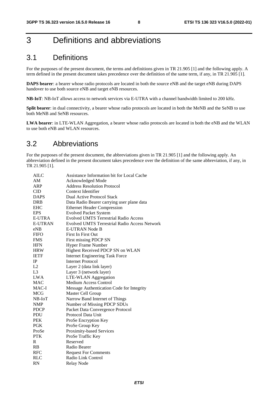## 3 Definitions and abbreviations

## 3.1 Definitions

For the purposes of the present document, the terms and definitions given in TR 21.905 [1] and the following apply. A term defined in the present document takes precedence over the definition of the same term, if any, in TR 21.905 [1].

**DAPS bearer**: a bearer whose radio protocols are located in both the source eNB and the target eNB during DAPS handover to use both source eNB and target eNB resources.

**NB-IoT**: NB-IoT allows access to network services via E-UTRA with a channel bandwidth limited to 200 kHz.

**Split bearer**: in dual connectivity, a bearer whose radio protocols are located in both the MeNB and the SeNB to use both MeNB and SeNB resources.

**LWA bearer**: in LTE-WLAN Aggregation, a bearer whose radio protocols are located in both the eNB and the WLAN to use both eNB and WLAN resources.

## 3.2 Abbreviations

For the purposes of the present document, the abbreviations given in TR 21.905 [1] and the following apply. An abbreviation defined in the present document takes precedence over the definition of the same abbreviation, if any, in TR 21.905 [1].

| AILC           | Assistance Information bit for Local Cache           |
|----------------|------------------------------------------------------|
| AM             | Acknowledged Mode                                    |
| ARP            | <b>Address Resolution Protocol</b>                   |
| CID            | Context Identifier                                   |
| <b>DAPS</b>    | Dual Active Protocol Stack                           |
| <b>DRB</b>     | Data Radio Bearer carrying user plane data           |
| <b>EHC</b>     | <b>Ethernet Header Compression</b>                   |
| <b>EPS</b>     | <b>Evolved Packet System</b>                         |
| <b>E-UTRA</b>  | <b>Evolved UMTS Terrestrial Radio Access</b>         |
| <b>E-UTRAN</b> | <b>Evolved UMTS Terrestrial Radio Access Network</b> |
| eNB            | E-UTRAN Node B                                       |
| <b>FIFO</b>    | <b>First In First Out</b>                            |
| <b>FMS</b>     | First missing PDCP SN                                |
| <b>HFN</b>     | <b>Hyper Frame Number</b>                            |
| <b>HRW</b>     | Highest Received PDCP SN on WLAN                     |
| <b>IETF</b>    | <b>Internet Engineering Task Force</b>               |
| IP             | <b>Internet Protocol</b>                             |
| L2             | Layer 2 (data link layer)                            |
| L <sub>3</sub> | Layer 3 (network layer)                              |
| <b>LWA</b>     | <b>LTE-WLAN</b> Aggregation                          |
| <b>MAC</b>     | <b>Medium Access Control</b>                         |
| MAC-I          | Message Authentication Code for Integrity            |
| <b>MCG</b>     | Master Cell Group                                    |
| $NB$ - $IoT$   | Narrow Band Internet of Things                       |
| <b>NMP</b>     | Number of Missing PDCP SDUs                          |
| <b>PDCP</b>    | Packet Data Convergence Protocol                     |
| <b>PDU</b>     | Protocol Data Unit                                   |
| <b>PEK</b>     | ProSe Encryption Key                                 |
| <b>PGK</b>     | ProSe Group Key                                      |
| ProSe          | Proximity-based Services                             |
| <b>PTK</b>     | ProSe Traffic Key                                    |
| R              | Reserved                                             |
| RB             | Radio Bearer                                         |
| <b>RFC</b>     | <b>Request For Comments</b>                          |
| <b>RLC</b>     | Radio Link Control                                   |
| <b>RN</b>      | Relay Node                                           |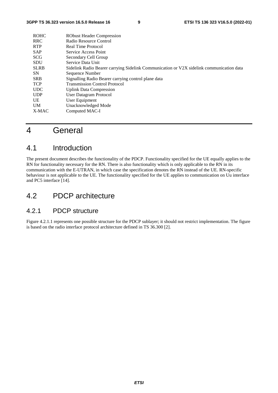| <b>ROHC</b> | <b>RObust Header Compression</b>                                                         |
|-------------|------------------------------------------------------------------------------------------|
| <b>RRC</b>  | Radio Resource Control                                                                   |
| <b>RTP</b>  | <b>Real Time Protocol</b>                                                                |
| <b>SAP</b>  | Service Access Point                                                                     |
| <b>SCG</b>  | Secondary Cell Group                                                                     |
| <b>SDU</b>  | Service Data Unit                                                                        |
| <b>SLRB</b> | Sidelink Radio Bearer carrying Sidelink Communication or V2X sidelink communication data |
| SN.         | Sequence Number                                                                          |
| <b>SRB</b>  | Signalling Radio Bearer carrying control plane data                                      |
| <b>TCP</b>  | <b>Transmission Control Protocol</b>                                                     |
| <b>UDC</b>  | <b>Uplink Data Compression</b>                                                           |
| <b>UDP</b>  | User Datagram Protocol                                                                   |
| UE          | User Equipment                                                                           |
| <b>UM</b>   | Unacknowledged Mode                                                                      |
| X-MAC       | Computed MAC-I                                                                           |
|             |                                                                                          |

## 4 General

## 4.1 Introduction

The present document describes the functionality of the PDCP. Functionality specified for the UE equally applies to the RN for functionality necessary for the RN. There is also functionality which is only applicable to the RN in its communication with the E-UTRAN, in which case the specification denotes the RN instead of the UE. RN-specific behaviour is not applicable to the UE. The functionality specified for the UE applies to communication on Uu interface and PC5 interface [14].

## 4.2 PDCP architecture

## 4.2.1 PDCP structure

Figure 4.2.1.1 represents one possible structure for the PDCP sublayer; it should not restrict implementation. The figure is based on the radio interface protocol architecture defined in TS 36.300 [2].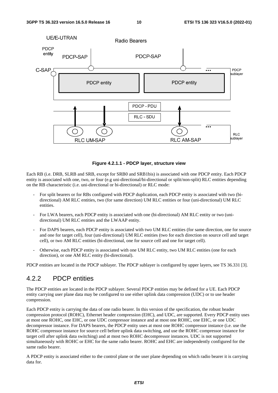

#### **Figure 4.2.1.1 - PDCP layer, structure view**

Each RB (i.e. DRB, SLRB and SRB, except for SRB0 and SRB1bis) is associated with one PDCP entity. Each PDCP entity is associated with one, two, or four (e.g uni-directional/bi-directional or split/non-split) RLC entities depending on the RB characteristic (i.e. uni-directional or bi-directional) or RLC mode:

- For split bearers or for RBs configured with PDCP duplication, each PDCP entity is associated with two (bidirectional) AM RLC entities, two (for same direction) UM RLC entities or four (uni-directional) UM RLC entities.
- For LWA bearers, each PDCP entity is associated with one (bi-directional) AM RLC entity or two (unidirectional) UM RLC entities and the LWAAP entity.
- For DAPS bearers, each PDCP entity is associated with two UM RLC entities (for same direction, one for source and one for target cell), four (uni-directional) UM RLC entities (two for each direction on source cell and target cell), or two AM RLC entities (bi-directional, one for source cell and one for target cell).
- Otherwise, each PDCP entity is associated with one UM RLC entity, two UM RLC entities (one for each direction), or one AM RLC entity (bi-directional).

PDCP entities are located in the PDCP sublayer. The PDCP sublayer is configured by upper layers, see TS 36.331 [3].

#### 4.2.2 PDCP entities

The PDCP entities are located in the PDCP sublayer. Several PDCP entities may be defined for a UE. Each PDCP entity carrying user plane data may be configured to use either uplink data compression (UDC) or to use header compression.

Each PDCP entity is carrying the data of one radio bearer. In this version of the specification, the robust header compression protocol (ROHC), Ethernet header compression (EHC), and UDC, are supported. Every PDCP entity uses at most one ROHC, one EHC, or one UDC compressor instance and at most one ROHC, one EHC, or one UDC decompressor instance. For DAPS bearers, the PDCP entity uses at most one ROHC compressor instance (i.e. use the ROHC compressor instance for source cell before uplink data switching, and use the ROHC compressor instance for target cell after uplink data switching) and at most two ROHC decompressor instances. UDC is not supported simultaneously with ROHC or EHC for the same radio bearer. ROHC and EHC are independently configured for the same radio bearer.

A PDCP entity is associated either to the control plane or the user plane depending on which radio bearer it is carrying data for.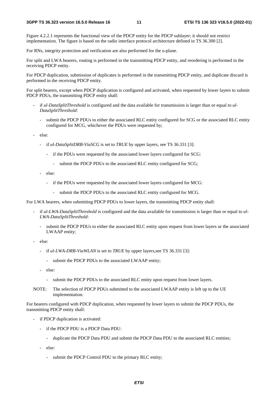Figure 4.2.2.1 represents the functional view of the PDCP entity for the PDCP sublayer; it should not restrict implementation. The figure is based on the radio interface protocol architecture defined in TS 36.300 [2].

For RNs, integrity protection and verification are also performed for the u-plane.

For split and LWA bearers, routing is performed in the transmitting PDCP entity, and reordering is performed in the receiving PDCP entity.

For PDCP duplication, submission of duplicates is performed in the transmitting PDCP entity, and duplicate discard is performed in the receiving PDCP entity.

For split bearers, except when PDCP duplication is configured and activated, when requested by lower layers to submit PDCP PDUs, the transmitting PDCP entity shall:

- if *ul-DataSplitThreshold* is configured and the data available for transmission is larger than or equal to *ul-DataSplitThreshold*:
	- submit the PDCP PDUs to either the associated RLC entity configured for SCG or the associated RLC entity configured for MCG, whichever the PDUs were requested by;
- else:
	- if *ul-DataSplitDRB-ViaSCG* is set to *TRUE* by upper layers, see TS 36.331 [3]:
		- if the PDUs were requested by the associated lower layers configured for SCG:
			- submit the PDCP PDUs to the associated RLC entity configured for SCG;
	- else:
		- if the PDUs were requested by the associated lower layers configured for MCG:
			- submit the PDCP PDUs to the associated RLC entity configured for MCG.

For LWA bearers, when submitting PDCP PDUs to lower layers, the transmitting PDCP entity shall:

- if  $ul-LWA-DataSplitThreshold$  is configured and the data available for transmission is larger than or equal to  $ul$ *LWA-DataSplitThreshold*:
	- submit the PDCP PDUs to either the associated RLC entity upon request from lower layers or the associated LWAAP entity;
- else:
	- if *ul-LWA-DRB-ViaWLAN* is set to *TRUE* by upper layers,see TS 36.331 [3]:
		- submit the PDCP PDUs to the associated LWAAP entity;
	- else:
		- submit the PDCP PDUs to the associated RLC entity upon request from lower layers.
- NOTE: The selection of PDCP PDUs submitted to the associated LWAAP entity is left up to the UE implementation.

For bearers configured with PDCP duplication, when requested by lower layers to submit the PDCP PDUs, the transmitting PDCP entity shall:

- if PDCP duplication is activated:
	- if the PDCP PDU is a PDCP Data PDU:
		- duplicate the PDCP Data PDU and submit the PDCP Data PDU to the associated RLC entities;
	- else:
		- submit the PDCP Control PDU to the primary RLC entity;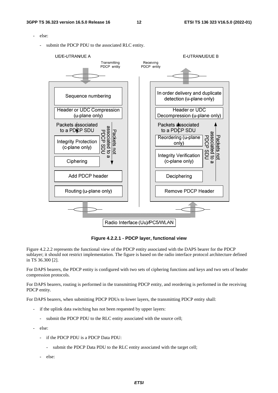- else:
	- submit the PDCP PDU to the associated RLC entity.



**Figure 4.2.2.1 - PDCP layer, functional view** 

Figure 4.2.2.2 represents the functional view of the PDCP entity associated with the DAPS bearer for the PDCP sublayer; it should not restrict implementation. The figure is based on the radio interface protocol architecture defined in TS 36.300 [2].

For DAPS bearers, the PDCP entity is configured with two sets of ciphering functions and keys and two sets of header compression protocols.

For DAPS bearers, routing is performed in the transmitting PDCP entity, and reordering is performed in the receiving PDCP entity.

For DAPS bearers, when submitting PDCP PDUs to lower layers, the transmitting PDCP entity shall:

- if the uplink data switching has not been requested by upper layers:
	- submit the PDCP PDU to the RLC entity associated with the source cell;
- else:
	- if the PDCP PDU is a PDCP Data PDU:
		- submit the PDCP Data PDU to the RLC entity associated with the target cell;
	- else: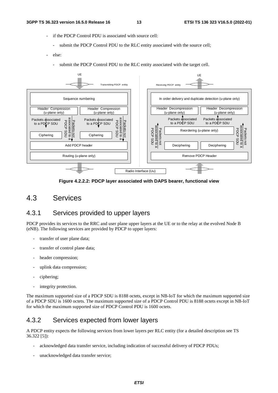- if the PDCP Control PDU is associated with source cell:
	- submit the PDCP Control PDU to the RLC entity associated with the source cell;
- else:
	- submit the PDCP Control PDU to the RLC entity associated with the target cell.



**Figure 4.2.2.2: PDCP layer associated with DAPS bearer, functional view** 

## 4.3 Services

## 4.3.1 Services provided to upper layers

PDCP provides its services to the RRC and user plane upper layers at the UE or to the relay at the evolved Node B (eNB). The following services are provided by PDCP to upper layers:

- transfer of user plane data;
- transfer of control plane data;
- header compression;
- uplink data compression;
- ciphering;
- integrity protection.

The maximum supported size of a PDCP SDU is 8188 octets, except in NB-IoT for which the maximum supported size of a PDCP SDU is 1600 octets. The maximum supported size of a PDCP Control PDU is 8188 octets except in NB-IoT for which the maximum supported size of PDCP Control PDU is 1600 octets.

## 4.3.2 Services expected from lower layers

A PDCP entity expects the following services from lower layers per RLC entity (for a detailed description see TS 36.322 [5]):

- acknowledged data transfer service, including indication of successful delivery of PDCP PDUs;
- unacknowledged data transfer service;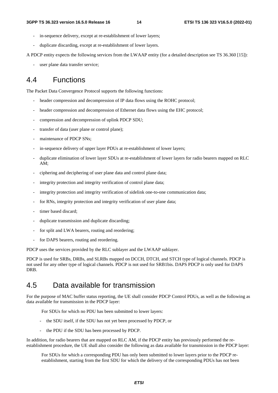- in-sequence delivery, except at re-establishment of lower layers;
- duplicate discarding, except at re-establishment of lower layers.

A PDCP entity expects the following services from the LWAAP entity (for a detailed description see TS 36.360 [15]):

user plane data transfer service;

## 4.4 Functions

The Packet Data Convergence Protocol supports the following functions:

- header compression and decompression of IP data flows using the ROHC protocol;
- header compression and decompression of Ethernet data flows using the EHC protocol;
- compression and decompression of uplink PDCP SDU;
- transfer of data (user plane or control plane);
- maintenance of PDCP SNs:
- in-sequence delivery of upper layer PDUs at re-establishment of lower layers;
- duplicate elimination of lower layer SDUs at re-establishment of lower layers for radio bearers mapped on RLC AM;
- ciphering and deciphering of user plane data and control plane data;
- integrity protection and integrity verification of control plane data;
- integrity protection and integrity verification of sidelink one-to-one communication data;
- for RNs, integrity protection and integrity verification of user plane data;
- timer based discard:
- duplicate transmission and duplicate discarding;
- for split and LWA bearers, routing and reordering;
- for DAPS bearers, routing and reordering.

PDCP uses the services provided by the RLC sublayer and the LWAAP sublayer.

PDCP is used for SRBs, DRBs, and SLRBs mapped on DCCH, DTCH, and STCH type of logical channels. PDCP is not used for any other type of logical channels. PDCP is not used for SRB1bis. DAPS PDCP is only used for DAPS DRB.

## 4.5 Data available for transmission

For the purpose of MAC buffer status reporting, the UE shall consider PDCP Control PDUs, as well as the following as data available for transmission in the PDCP layer:

For SDUs for which no PDU has been submitted to lower layers:

- the SDU itself, if the SDU has not yet been processed by PDCP, or
- the PDU if the SDU has been processed by PDCP.

In addition, for radio bearers that are mapped on RLC AM, if the PDCP entity has previously performed the reestablishment procedure, the UE shall also consider the following as data available for transmission in the PDCP layer:

For SDUs for which a corresponding PDU has only been submitted to lower layers prior to the PDCP reestablishment, starting from the first SDU for which the delivery of the corresponding PDUs has not been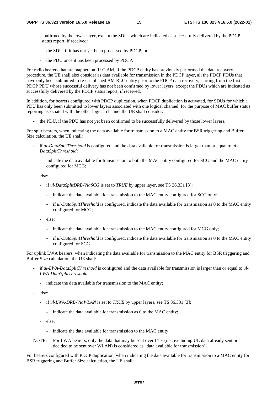confirmed by the lower layer, except the SDUs which are indicated as successfully delivered by the PDCP status report, if received:

- the SDU, if it has not yet been processed by PDCP, or
- the PDU once it has been processed by PDCP.

For radio bearers that are mapped on RLC AM, if the PDCP entity has previously performed the data recovery procedure, the UE shall also consider as data available for transmission in the PDCP layer, all the PDCP PDUs that have only been submitted to re-established AM RLC entity prior to the PDCP data recovery, starting from the first PDCP PDU whose successful delivery has not been confirmed by lower layers, except the PDUs which are indicated as successfully delivered by the PDCP status report, if received.

In addition, for bearers configured with PDCP duplication, when PDCP duplication is activated, for SDUs for which a PDU has only been submitted to lower layers associated with one logical channel, for the purpose of MAC buffer status reporting associated with the other logical channel the UE shall consider:

the PDU, if the PDU has not yet been confirmed to be successfully delivered by those lower layers.

For split bearers, when indicating the data available for transmission to a MAC entity for BSR triggering and Buffer Size calculation, the UE shall:

- if *ul-DataSplitThreshold* is configured and the data available for transmission is larger than or equal to *ul-DataSplitThreshold*:
	- indicate the data available for transmission to both the MAC entity configured for SCG and the MAC entity configured for MCG;
- else:
	- if *ul-DataSplitDRB-ViaSCG* is set to *TRUE* by upper layer, see TS 36.331 [3]:
		- indicate the data available for transmission to the MAC entity configured for SCG only;
		- if *ul-DataSplitThreshold* is configured, indicate the data available for transmission as 0 to the MAC entity configured for MCG;
	- else:
		- indicate the data available for transmission to the MAC entity configured for MCG only;
		- if *ul-DataSplitThreshold* is configured, indicate the data available for transmission as 0 to the MAC entity configured for SCG.

For uplink LWA bearers, when indicating the data available for transmission to the MAC entity for BSR triggering and Buffer Size calculation, the UE shall:

- if *ul-LWA-DataSplitThreshold* is configured and the data available for transmission is larger than or equal to *ul-LWA-DataSplitThreshold*:
	- indicate the data available for transmission to the MAC entity;
- else:
	- if *ul-LWA-DRB-ViaWLAN* is set to *TRUE* by upper layers, see TS 36.331 [3]:
		- indicate the data available for transmission as 0 to the MAC entity;
	- else:
		- indicate the data available for transmission to the MAC entity.
- NOTE: For LWA bearers, only the data that may be sent over LTE (i.e., excluding UL data already sent or decided to be sent over WLAN) is considered as "data available for transmission".

For bearers configured with PDCP duplication, when indicating the data available for transmission to a MAC entity for BSR triggering and Buffer Size calculation, the UE shall: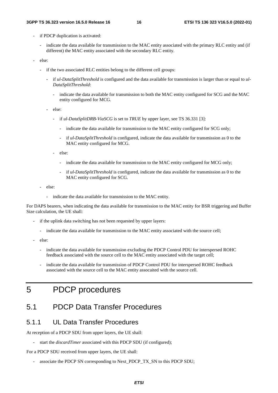- if PDCP duplication is activated:
	- indicate the data available for transmission to the MAC entity associated with the primary RLC entity and (if different) the MAC entity associated with the secondary RLC entity.
- else:
	- if the two associated RLC entities belong to the different cell groups:
		- if *ul-DataSplitThreshold* is configured and the data available for transmission is larger than or equal to *ul-DataSplitThreshold*:
			- indicate the data available for transmission to both the MAC entity configured for SCG and the MAC entity configured for MCG.
		- else:
			- if *ul-DataSplitDRB-ViaSCG* is set to *TRUE* by upper layer, see TS 36.331 [3]:
				- indicate the data available for transmission to the MAC entity configured for SCG only;
				- if *ul-DataSplitThreshold* is configured, indicate the data available for transmission as 0 to the MAC entity configured for MCG.
			- else:
				- indicate the data available for transmission to the MAC entity configured for MCG only;
				- if *ul-DataSplitThreshold* is configured, indicate the data available for transmission as 0 to the MAC entity configured for SCG.
	- else:
		- indicate the data available for transmission to the MAC entity.

For DAPS bearers, when indicating the data available for transmission to the MAC entity for BSR triggering and Buffer Size calculation, the UE shall:

- if the uplink data switching has not been requested by upper layers:
	- indicate the data available for transmission to the MAC entity associated with the source cell;
- else:
	- indicate the data available for transmission excluding the PDCP Control PDU for interspersed ROHC feedback associated with the source cell to the MAC entity associated with the target cell;
	- indicate the data available for transmission of PDCP Control PDU for interspersed ROHC feedback associated with the source cell to the MAC entity assocaited with the source cell.

## 5 PDCP procedures

## 5.1 PDCP Data Transfer Procedures

#### 5.1.1 UL Data Transfer Procedures

At reception of a PDCP SDU from upper layers, the UE shall:

start the *discardTimer* associated with this PDCP SDU (if configured);

For a PDCP SDU received from upper layers, the UE shall:

associate the PDCP SN corresponding to Next\_PDCP\_TX\_SN to this PDCP SDU;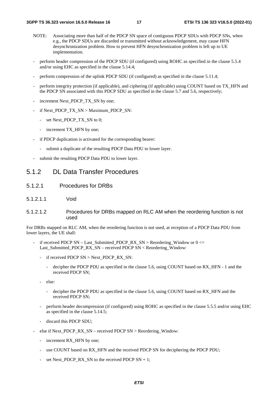- NOTE: Associating more than half of the PDCP SN space of contiguous PDCP SDUs with PDCP SNs, when e.g., the PDCP SDUs are discarded or transmitted without acknowledgement, may cause HFN desynchronization problem. How to prevent HFN desynchronization problem is left up to UE implementation.
- perform header compression of the PDCP SDU (if configured) using ROHC as specified in the clause 5.5.4 and/or using EHC as specified in the clause 5.14.4;
- perform compression of the uplink PDCP SDU (if configured) as specified in the clause 5.11.4;
- perform integrity protection (if applicable), and ciphering (if applicable) using COUNT based on TX\_HFN and the PDCP SN associated with this PDCP SDU as specified in the clause 5.7 and 5.6, respectively;
- increment Next\_PDCP\_TX\_SN by one;
- if Next\_PDCP\_TX\_SN > Maximum\_PDCP\_SN:
	- set Next\_PDCP\_TX\_SN to 0;
	- increment TX\_HFN by one;
- if PDCP duplication is activated for the corresponding bearer:
	- submit a duplicate of the resulting PDCP Data PDU to lower layer.
- submit the resulting PDCP Data PDU to lower layer.

#### 5.1.2 DL Data Transfer Procedures

- 5.1.2.1 Procedures for DRBs
- 5.1.2.1.1 Void
- 5.1.2.1.2 Procedures for DRBs mapped on RLC AM when the reordering function is not used

For DRBs mapped on RLC AM, when the reordering function is not used, at reception of a PDCP Data PDU from lower layers, the UE shall:

- if received PDCP SN Last\_Submitted\_PDCP\_RX\_SN > Reordering\_Window or  $0 \le$ Last Submitted PDCP RX SN – received PDCP SN < Reordering Window:
	- if received PDCP SN > Next\_PDCP\_RX\_SN:
		- decipher the PDCP PDU as specified in the clause 5.6, using COUNT based on RX HFN 1 and the received PDCP SN;
	- else:
		- decipher the PDCP PDU as specified in the clause 5.6, using COUNT based on RX HFN and the received PDCP SN;
	- perform header decompression (if configured) using ROHC as specified in the clause 5.5.5 and/or using EHC as specified in the clause 5.14.5;
	- discard this PDCP SDU;
- else if Next\_PDCP\_RX\_SN received PDCP SN > Reordering\_Window:
	- increment RX HFN by one:
	- use COUNT based on RX HFN and the received PDCP SN for deciphering the PDCP PDU;
	- set Next\_PDCP\_RX\_SN to the received PDCP  $SN + 1$ ;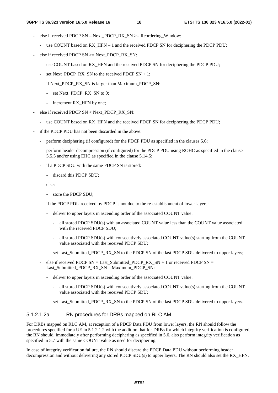- else if received PDCP SN Next\_PDCP\_RX\_SN >= Reordering\_Window:
	- use COUNT based on RX\_HFN 1 and the received PDCP SN for deciphering the PDCP PDU;
- else if received PDCP  $SN \geq$ Next PDCP RX SN:
	- use COUNT based on RX HFN and the received PDCP SN for deciphering the PDCP PDU;
	- set Next\_PDCP\_RX\_SN to the received PDCP  $SN + 1$ ;
	- if Next\_PDCP\_RX\_SN is larger than Maximum\_PDCP\_SN:
		- set Next\_PDCP\_RX\_SN to 0;
		- increment RX\_HFN by one;
- else if received PDCP  $SN <$  Next PDCP RX SN:
	- use COUNT based on RX HFN and the received PDCP SN for deciphering the PDCP PDU;
- if the PDCP PDU has not been discarded in the above:
	- perform deciphering (if configured) for the PDCP PDU as specified in the clauses 5.6;
	- perform header decompression (if configured) for the PDCP PDU using ROHC as specified in the clause 5.5.5 and/or using EHC as specified in the clause 5.14.5;
	- if a PDCP SDU with the same PDCP SN is stored:
		- discard this PDCP SDU;
	- else:
		- store the PDCP SDU;
	- if the PDCP PDU received by PDCP is not due to the re-establishment of lower layers:
		- deliver to upper layers in ascending order of the associated COUNT value:
			- all stored PDCP SDU(s) with an associated COUNT value less than the COUNT value associated with the received PDCP SDU;
			- all stored PDCP SDU(s) with consecutively associated COUNT value(s) starting from the COUNT value associated with the received PDCP SDU;
		- set Last\_Submitted\_PDCP\_RX\_SN to the PDCP SN of the last PDCP SDU delivered to upper layers;.
	- else if received PDCP  $SN = Last\_Submitted\_PDCP_RX\_SN + 1$  or received PDCP  $SN =$ Last\_Submitted\_PDCP\_RX\_SN – Maximum\_PDCP\_SN:
		- deliver to upper layers in ascending order of the associated COUNT value:
			- all stored PDCP SDU(s) with consecutively associated COUNT value(s) starting from the COUNT value associated with the received PDCP SDU;
		- set Last\_Submitted\_PDCP\_RX\_SN to the PDCP SN of the last PDCP SDU delivered to upper layers.

#### 5.1.2.1.2a RN procedures for DRBs mapped on RLC AM

For DRBs mapped on RLC AM, at reception of a PDCP Data PDU from lower layers, the RN should follow the procedures specified for a UE in 5.1.2.1.2 with the addition that for DRBs for which integrity verification is configured, the RN should, immediately after performing deciphering as specified in 5.6, also perform integrity verification as specified in 5.7 with the same COUNT value as used for deciphering.

In case of integrity verification failure, the RN should discard the PDCP Data PDU without performing header decompression and without delivering any stored PDCP SDU(s) to upper layers. The RN should also set the RX\_HFN,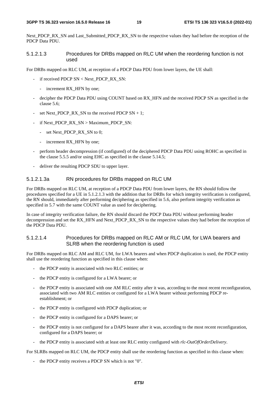Next\_PDCP\_RX\_SN and Last\_Submitted\_PDCP\_RX\_SN to the respective values they had before the reception of the PDCP Data PDU.

#### 5.1.2.1.3 Procedures for DRBs mapped on RLC UM when the reordering function is not used

For DRBs mapped on RLC UM, at reception of a PDCP Data PDU from lower layers, the UE shall:

- if received PDCP SN < Next\_PDCP\_RX\_SN:
	- increment RX\_HFN by one;
- decipher the PDCP Data PDU using COUNT based on RX\_HFN and the received PDCP SN as specified in the clause 5.6;
- set Next\_PDCP\_RX\_SN to the received PDCP  $SN + 1$ ;
- if Next\_PDCP\_RX\_SN > Maximum\_PDCP\_SN:
	- set Next\_PDCP\_RX\_SN to 0;
	- increment RX HFN by one;
- perform header decompression (if configured) of the deciphered PDCP Data PDU using ROHC as specified in the clause 5.5.5 and/or using EHC as specified in the clause 5.14.5;
- deliver the resulting PDCP SDU to upper layer.

#### 5.1.2.1.3a RN procedures for DRBs mapped on RLC UM

For DRBs mapped on RLC UM, at reception of a PDCP Data PDU from lower layers, the RN should follow the procedures specified for a UE in 5.1.2.1.3 with the addition that for DRBs for which integrity verification is configured, the RN should, immediately after performing deciphering as specified in 5.6, also perform integrity verification as specified in 5.7 with the same COUNT value as used for deciphering.

In case of integrity verification failure, the RN should discard the PDCP Data PDU without performing header decompression and set the RX\_HFN and Next\_PDCP\_RX\_SN to the respective values they had before the reception of the PDCP Data PDU.

#### 5.1.2.1.4 Procedures for DRBs mapped on RLC AM or RLC UM, for LWA bearers and SLRB when the reordering function is used

For DRBs mapped on RLC AM and RLC UM, for LWA bearers and when PDCP duplication is used, the PDCP entity shall use the reordering function as specified in this clause when:

- the PDCP entity is associated with two RLC entities; or
- the PDCP entity is configured for a LWA bearer; or
- the PDCP entity is associated with one AM RLC entity after it was, according to the most recent reconfiguration, associated with two AM RLC entities or configured for a LWA bearer without performing PDCP reestablishment; or
- the PDCP entity is configured with PDCP duplication; or
- the PDCP entity is configured for a DAPS bearer; or
- the PDCP entity is not configured for a DAPS bearer after it was, according to the most recent reconfiguration, configured for a DAPS bearer; or
- the PDCP entity is associated with at least one RLC entity configured with *rlc-OutOfOrderDelivery*.

For SLRBs mapped on RLC UM, the PDCP entity shall use the reordering function as specified in this clause when:

the PDCP entity receives a PDCP SN which is not "0".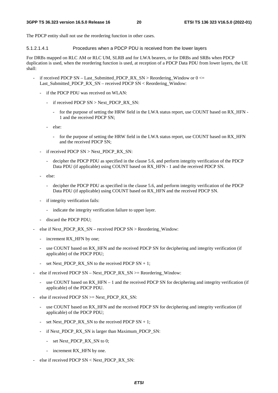The PDCP entity shall not use the reordering function in other cases.

5.1.2.1.4.1 Procedures when a PDCP PDU is received from the lower layers

For DRBs mapped on RLC AM or RLC UM, SLRB and for LWA bearers, or for DRBs and SRBs when PDCP duplication is used, when the reordering function is used, at reception of a PDCP Data PDU from lower layers, the UE shall:

- if received PDCP SN Last Submitted PDCP RX SN > Reordering Window or  $0 \le$ Last\_Submitted\_PDCP\_RX\_SN – received PDCP SN < Reordering\_Window:
	- if the PDCP PDU was received on WLAN:
		- if received PDCP SN > Next\_PDCP\_RX\_SN:
			- for the purpose of setting the HRW field in the LWA status report, use COUNT based on RX\_HFN 1 and the received PDCP SN;
		- else:
			- for the purpose of setting the HRW field in the LWA status report, use COUNT based on RX\_HFN and the received PDCP SN;
	- if received PDCP SN > Next\_PDCP\_RX\_SN:
		- decipher the PDCP PDU as specified in the clause 5.6, and perform integrity verification of the PDCP Data PDU (if applicable) using COUNT based on RX\_HFN - 1 and the received PDCP SN.
	- else:
		- decipher the PDCP PDU as specified in the clause 5.6, and perform integrity verification of the PDCP Data PDU (if applicable) using COUNT based on RX\_HFN and the received PDCP SN.
	- if integrity verification fails:
		- indicate the integrity verification failure to upper layer.
	- discard the PDCP PDU;
- else if Next PDCP\_RX\_SN received PDCP SN > Reordering Window:
	- increment RX\_HFN by one;
	- use COUNT based on RX HFN and the received PDCP SN for deciphering and integrity verification (if applicable) of the PDCP PDU;
	- set Next PDCP\_RX\_SN to the received PDCP  $SN + 1$ ;
- else if received PDCP SN Next\_PDCP\_RX\_SN  $>=$  Reordering\_Window:
	- use COUNT based on  $RX$  HFN 1 and the received PDCP SN for deciphering and integrity verification (if applicable) of the PDCP PDU.
- else if received PDCP  $SN \geq Next\_PDCP\_RX\_SN$ :
	- use COUNT based on RX\_HFN and the received PDCP SN for deciphering and integrity verification (if applicable) of the PDCP PDU;
	- set Next\_PDCP\_RX\_SN to the received PDCP  $SN + 1$ ;
	- if Next\_PDCP\_RX\_SN is larger than Maximum\_PDCP\_SN:
		- set Next\_PDCP\_RX\_SN to 0;
		- increment RX\_HFN by one.
- else if received PDCP SN < Next\_PDCP\_RX\_SN: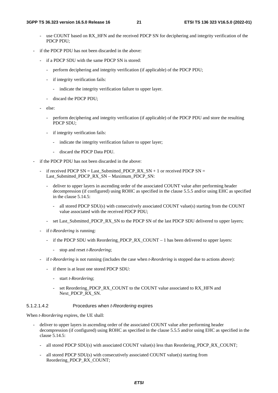- use COUNT based on RX\_HFN and the received PDCP SN for deciphering and integrity verification of the PDCP PDU;
- if the PDCP PDU has not been discarded in the above:
	- if a PDCP SDU with the same PDCP SN is stored:
		- perform deciphering and integrity verification (if applicable) of the PDCP PDU;
		- if integrity verification fails:
			- indicate the integrity verification failure to upper layer.
		- discard the PDCP PDU;
	- else:
		- perform deciphering and integrity verification (if applicable) of the PDCP PDU and store the resulting PDCP SDU;
		- if integrity verification fails:
			- indicate the integrity verification failure to upper layer;
			- discard the PDCP Data PDU.
- if the PDCP PDU has not been discarded in the above:
	- if received PDCP SN = Last\_Submitted\_PDCP\_RX\_SN + 1 or received PDCP SN = Last\_Submitted\_PDCP\_RX\_SN – Maximum\_PDCP\_SN:
		- deliver to upper layers in ascending order of the associated COUNT value after performing header decompression (if configured) using ROHC as specified in the clause 5.5.5 and/or using EHC as specified in the clause 5.14.5:
			- all stored PDCP SDU(s) with consecutively associated COUNT value(s) starting from the COUNT value associated with the received PDCP PDU;
		- set Last\_Submitted\_PDCP\_RX\_SN to the PDCP SN of the last PDCP SDU delivered to upper layers;
	- if *t-Reordering* is running:
		- if the PDCP SDU with Reordering PDCP\_RX\_COUNT  $-1$  has been delivered to upper layers:
			- stop and reset *t-Reordering*;
	- if *t-Reordering* is not running (includes the case when *t-Reordering* is stopped due to actions above):
		- if there is at least one stored PDCP SDU:
			- start *t-Reordering*;
			- set Reordering\_PDCP\_RX\_COUNT to the COUNT value associated to RX\_HFN and Next\_PDCP\_RX\_SN.

#### 5.1.2.1.4.2 Procedures when *t-Reordering* expires

When *t-Reordering* expires, the UE shall:

- deliver to upper layers in ascending order of the associated COUNT value after performing header decompression (if configured) using ROHC as specified in the clause 5.5.5 and/or using EHC as specified in the clause 5.14.5:
	- all stored PDCP SDU(s) with associated COUNT value(s) less than Reordering PDCP\_RX\_COUNT;
	- all stored PDCP SDU(s) with consecutively associated COUNT value(s) starting from Reordering\_PDCP\_RX\_COUNT;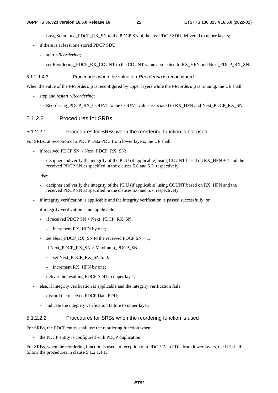- set Last\_Submitted\_PDCP\_RX\_SN to the PDCP SN of the last PDCP SDU delivered to upper layers;
- if there is at least one stored PDCP SDU:
	- start *t-Reordering*;
	- set Reordering\_PDCP\_RX\_COUNT to the COUNT value associated to RX\_HFN and Next\_PDCP\_RX\_SN.

#### 5.1.2.1.4.3 Procedures when the value of *t-Reordering* is reconfigured

When the value of the *t-Reordering* is reconfigured by upper layers while the *t-Reordering* is running, the UE shall:

- stop and restart *t-Reordering*;
- set Reordering\_PDCP\_RX\_COUNT to the COUNT value associated to RX\_HFN and Next\_PDCP\_RX\_SN.

#### 5.1.2.2 Procedures for SRBs

#### 5.1.2.2.1 Procedures for SRBs when the reordering function is not used

For SRBs, at reception of a PDCP Data PDU from lower layers, the UE shall:

- if received PDCP SN < Next\_PDCP\_RX\_SN:
	- decipher and verify the integrity of the PDU (if applicable) using COUNT based on RX\_HFN + 1 and the received PDCP SN as specified in the clauses 5.6 and 5.7, respectively;
- else:
	- decipher and verify the integrity of the PDU (if applicable) using COUNT based on RX\_HFN and the received PDCP SN as specified in the clauses 5.6 and 5.7, respectively;
- if integrity verification is applicable and the integrity verification is passed successfully; or
- if integrity verification is not applicable:
	- if received PDCP SN < Next\_PDCP\_RX\_SN:
		- increment RX\_HFN by one;
	- set Next PDCP, RX, SN to the received PDCP SN  $+ 1$ :
	- if Next\_PDCP\_RX\_SN > Maximum\_PDCP\_SN:
		- set Next\_PDCP\_RX\_SN to 0;
		- increment RX HFN by one;
	- deliver the resulting PDCP SDU to upper layer;
- else, if integrity verification is applicable and the integrity verification fails:
	- discard the received PDCP Data PDU;
	- indicate the integrity verification failure to upper layer.

#### 5.1.2.2.2 Procedures for SRBs when the reordering function is used

For SRBs, the PDCP entity shall use the reordering function when:

the PDCP entity is configured with PDCP duplication.

For SRBs, when the reordering function is used, at reception of a PDCP Data PDU from lower layers, the UE shall follow the procedures in clause 5.1.2.1.4.1.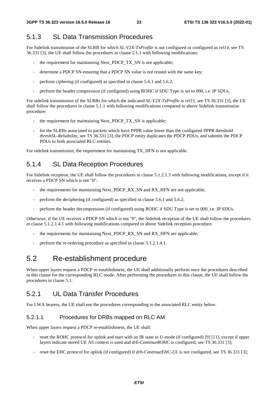## 5.1.3 SL Data Transmission Procedures

For Sidelink transmission of the SLRB for which *SL-V2X-TxProfile* is not configured or configured as *rel14*, see TS 36.331 [3], the UE shall follow the procedures in clause 5.1.1 with following modifications:

- the requirement for maintaining Next\_PDCP\_TX\_SN is not applicable;
- determine a PDCP SN ensuring that a PDCP SN value is not reused with the same key;
- perform ciphering (if configured) as specified in clause 5.6.1 and 5.6.2;
- perform the header compression (if configured) using ROHC if SDU Type is set to 000, i.e. IP SDUs.

For sidelink transmission of the SLRBs for which the indicated *SL-V2X-TxProfile* is *rel15*, see TS 36.331 [3], the UE shall follow the procedures in clause 5.1.1 with following modifications compared to above Sidelink transmission procedure:

- the requirement for maintaining Next\_PDCP\_TX\_SN is applicable;
- for the SLRBs associated to packets which have PPPR value lower than the configured PPPR threshold *threshSL-Reliability*, see TS 36.331 [3], the PDCP entity duplicates the PDCP PDUs, and submits the PDCP PDUs to both associated RLC entities.

For sidelink transmission, the requirement for maintaining TX\_HFN is not applicable.

### 5.1.4 SL Data Reception Procedures

For Sidelink reception, the UE shall follow the procedures in clause 5.1.2.1.3 with following modifications, except if it receives a PDCP SN which is not "0":

- the requirements for maintaining Next\_PDCP\_RX\_SN and RX\_HFN are not applicable;
- perform the deciphering (if configured) as specified in clause 5.6.1 and 5.6.2;
- perform the header decompression (if configured) using ROHC if SDU Type is set to 000, i.e. IP SDUs.

Otherwise, if the UE receives a PDCP SN which is not "0", the Sidelink reception of the UE shall follow the procedures in clause 5.1.2.1.4.1 with following modifications compared to above Sidelink reception procedure:

- the requirements for maintaining Next\_PDCP\_RX\_SN and RX\_HFN are applicable;
- perform the re-ordering procedure as specified in clause 5.1.2.1.4.1.

## 5.2 Re-establishment procedure

When upper layers request a PDCP re-establishment, the UE shall additionally perform once the procedures described in this clause for the corresponding RLC mode. After performing the procedures in this clause, the UE shall follow the procedures in clause 5.1.

### 5.2.1 UL Data Transfer Procedures

For LWA bearers, the UE shall use the procedures corresponding to the associated RLC entity below.

#### 5.2.1.1 Procedures for DRBs mapped on RLC AM

When upper layers request a PDCP re-establishment, the UE shall:

- reset the ROHC protocol for uplink and start with an IR state in U-mode (if configured) [9] [11], except if upper layers indicate stored UE AS context is used and *drb-ContinueROHC* is configured, see TS 36.331 [3];
- reset the EHC protocol for uplink (if configured) if *drb-ContinueEHC-UL* is not configured, see TS 36.331 [3];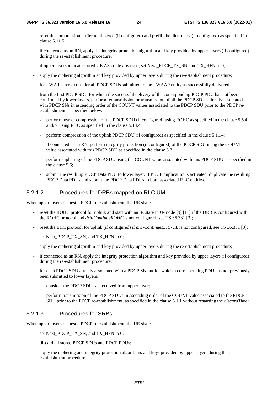- reset the compression buffer to all zeros (if configured) and prefill the dictionary (if configured) as specified in clause 5.11.5;
- if connected as an RN, apply the integrity protection algorithm and key provided by upper layers (if configured) during the re-establishment procedure;
- if upper layers indicate stored UE AS context is used, set Next\_PDCP\_TX\_SN, and TX\_HFN to 0;
- apply the ciphering algorithm and key provided by upper layers during the re-establishment procedure;
- for LWA bearers, consider all PDCP SDUs submitted to the LWAAP entity as successfully delivered;
- from the first PDCP SDU for which the successful delivery of the corresponding PDCP PDU has not been confirmed by lower layers, perform retransmission or transmission of all the PDCP SDUs already associated with PDCP SNs in ascending order of the COUNT values associated to the PDCP SDU prior to the PDCP reestablishment as specified below:
	- perform header compression of the PDCP SDU (if configured) using ROHC as specified in the clause 5.5.4 and/or using EHC as specified in the clause 5.14.4;
	- perform compression of the uplink PDCP SDU (if configured) as specified in the clause 5.11.4;
	- if connected as an RN, perform integrity protection (if configured) of the PDCP SDU using the COUNT value associated with this PDCP SDU as specified in the clause 5.7;
	- perform ciphering of the PDCP SDU using the COUNT value associated with this PDCP SDU as specified in the clause 5.6;
	- submit the resulting PDCP Data PDU to lower layer. If PDCP duplication is activated, duplicate the resulting PDCP Data PDUs and submit the PDCP Data PDUs to both associated RLC entities.

#### 5.2.1.2 Procedures for DRBs mapped on RLC UM

When upper layers request a PDCP re-establishment, the UE shall:

- reset the ROHC protocol for uplink and start with an IR state in U-mode [9] [11] if the DRB is configured with the ROHC protocol and *drb-ContinueROHC* is not configured, see TS 36.331 [3];
- reset the EHC protocol for uplink (if configured) if *drb-ContinueEHC-UL* is not configured, see TS 36.331 [3];
- set Next\_PDCP\_TX\_SN, and TX\_HFN to 0;
- apply the ciphering algorithm and key provided by upper layers during the re-establishment procedure;
- if connected as an RN, apply the integrity protection algorithm and key provided by upper layers (if configured) during the re-establishment procedure;
- for each PDCP SDU already associated with a PDCP SN but for which a corresponding PDU has not previously been submitted to lower layers:
	- consider the PDCP SDUs as received from upper layer;
	- perform transmission of the PDCP SDUs in ascending order of the COUNT value associated to the PDCP SDU prior to the PDCP re-establishment, as specified in the clause 5.1.1 without restarting the *discardTimer*.

#### 5.2.1.3 Procedures for SRBs

When upper layers request a PDCP re-establishment, the UE shall:

- set Next\_PDCP\_TX\_SN, and TX\_HFN to 0;
- discard all stored PDCP SDUs and PDCP PDUs;
- apply the ciphering and integrity protection algorithms and keys provided by upper layers during the reestablishment procedure.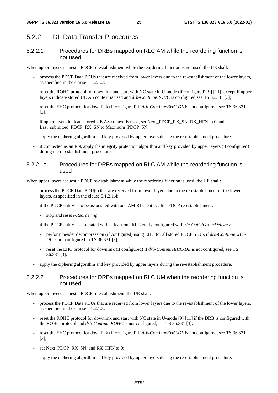#### 5.2.2 DL Data Transfer Procedures

#### 5.2.2.1 Procedures for DRBs mapped on RLC AM while the reordering function is not used

When upper layers request a PDCP re-establishment while the reordering function is not used, the UE shall:

- process the PDCP Data PDUs that are received from lower layers due to the re-establishment of the lower layers, as specified in the clause 5.1.2.1.2;
- reset the ROHC protocol for downlink and start with NC state in U-mode (if configured) [9] [11], except if upper layers indicate stored UE AS context is used and *drb-ContinueROHC* is configured, see TS 36.331 [3];
- reset the EHC protocol for downlink (if configured) if  $drb$ -ContinueEHC-DL is not configured, see TS 36.331 [3];
- if upper layers indicate stored UE AS context is used, set Next\_PDCP\_RX\_SN, RX\_HFN to 0 and Last\_submitted\_PDCP\_RX\_SN to Maximum\_PDCP\_SN;
- apply the ciphering algorithm and key provided by upper layers during the re-establishment procedure.
- if connected as an RN, apply the integrity protection algorithm and key provided by upper layers (if configured) during the re-establishment procedure.

#### 5.2.2.1a Procedures for DRBs mapped on RLC AM while the reordering function is used

When upper layers request a PDCP re-establishment while the reordering function is used, the UE shall:

- process the PDCP Data PDU(s) that are received from lower layers due to the re-establishment of the lower layers, as specified in the clause 5.1.2.1.4;
- if the PDCP entity is to be associated with one AM RLC entity after PDCP re-establishment:
	- stop and reset *t-Reordering*;
- if the PDCP entity is associated with at least one RLC entity configured with *rlc-OutOfOrderDelivery*:
	- perform header decompression (if configured) using EHC for all stored PDCP SDUs if *drb-ContinueEHC-DL* is not configured in TS 36.331 [3];
	- reset the EHC protocol for downlink (if configured) if *drb-ContinueEHC-DL* is not configured, see TS 36.331 [3];
- apply the ciphering algorithm and key provided by upper layers during the re-establishment procedure.

#### 5.2.2.2 Procedures for DRBs mapped on RLC UM when the reordering function is not used

When upper layers request a PDCP re-establishment, the UE shall:

- process the PDCP Data PDUs that are received from lower layers due to the re-establishment of the lower layers, as specified in the clause 5.1.2.1.3;
- reset the ROHC protocol for downlink and start with NC state in U-mode [9] [11] if the DRB is configured with the ROHC protocol and *drb-ContinueROHC* is not configured, see TS 36.331 [3];
- reset the EHC protocol for downlink (if configured) if *drb-ContinueEHC-DL* is not configured, see TS 36.331 [3];
- set Next\_PDCP\_RX\_SN, and RX\_HFN to 0;
- apply the ciphering algorithm and key provided by upper layers during the re-establishment procedure.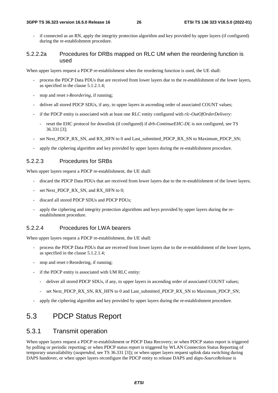#### **3GPP TS 36.323 version 16.5.0 Release 16 26 ETSI TS 136 323 V16.5.0 (2022-01)**

if connected as an RN, apply the integrity protection algorithm and key provided by upper layers (if configured) during the re-establishment procedure.

#### 5.2.2.2a Procedures for DRBs mapped on RLC UM when the reordering function is used

When upper layers request a PDCP re-establishment when the reordering function is used, the UE shall:

- process the PDCP Data PDUs that are received from lower layers due to the re-establishment of the lower layers, as specified in the clause 5.1.2.1.4;
- stop and reset *t-Reordering*, if running;
- deliver all stored PDCP SDUs, if any, to upper layers in ascending order of associated COUNT values;
- if the PDCP entity is associated with at least one RLC entity configured with *rlc-OutOfOrderDelivery*:
	- reset the EHC protocol for downlink (if configured) if *drb-ContinueEHC-DL* is not configured, see TS 36.331 [3];
- set Next\_PDCP\_RX\_SN, and RX\_HFN to 0 and Last\_submitted\_PDCP\_RX\_SN to Maximum\_PDCP\_SN;
- apply the ciphering algorithm and key provided by upper layers during the re-establishment procedure.

### 5.2.2.3 Procedures for SRBs

When upper layers request a PDCP re-establishment, the UE shall:

- discard the PDCP Data PDUs that are received from lower layers due to the re-establishment of the lower layers;
- set Next\_PDCP\_RX\_SN, and RX\_HFN to 0;
- discard all stored PDCP SDUs and PDCP PDUs;
- apply the ciphering and integrity protection algorithms and keys provided by upper layers during the reestablishment procedure.

#### 5.2.2.4 Procedures for LWA bearers

When upper layers request a PDCP re-establishment, the UE shall:

- process the PDCP Data PDUs that are received from lower layers due to the re-establishment of the lower layers, as specified in the clause 5.1.2.1.4;
- stop and reset t-Reordering, if running;
- if the PDCP entity is associated with UM RLC entity:
	- deliver all stored PDCP SDUs, if any, to upper layers in ascending order of associated COUNT values;
	- set Next\_PDCP\_RX\_SN, RX\_HFN to 0 and Last\_submitted\_PDCP\_RX\_SN to Maximum\_PDCP\_SN;
- apply the ciphering algorithm and key provided by upper layers during the re-establishment procedure.

## 5.3 PDCP Status Report

## 5.3.1 Transmit operation

When upper layers request a PDCP re-establishment or PDCP Data Recovery; or when PDCP status report is triggered by polling or periodic reporting; or when PDCP status report is triggered by WLAN Connection Status Reporting of temporary unavailability (*suspended*, see TS 36.331 [3]); or when upper layers request uplink data switching during DAPS handover, or when upper layers reconfigure the PDCP entity to release DAPS and *daps-SourceRelease* is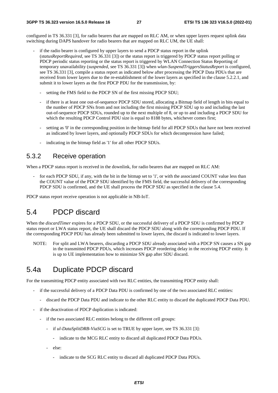configured in TS 36.331 [3], for radio bearers that are mapped on RLC AM, or when upper layers request uplink data switching during DAPS handover for radio bearers that are mapped on RLC UM, the UE shall:

- if the radio bearer is configured by upper layers to send a PDCP status report in the uplink (*statusReportRequired*, see TS 36.331 [3]) or the status report is triggered by PDCP status report polling or PDCP periodic status reporting or the status report is triggered by WLAN Connection Status Reporting of temporary unavailability (*suspended*, see TS 36.331 [3]) when *wlan-SuspendTriggersStatusReport* is configured, see TS 36.331 [3], compile a status report as indicated below after processing the PDCP Data PDUs that are received from lower layers due to the re-establishment of the lower layers as specified in the clause 5.2.2.1, and submit it to lower layers as the first PDCP PDU for the transmission, by:
	- setting the FMS field to the PDCP SN of the first missing PDCP SDU;
	- if there is at least one out-of-sequence PDCP SDU stored, allocating a Bitmap field of length in bits equal to the number of PDCP SNs from and not including the first missing PDCP SDU up to and including the last out-of-sequence PDCP SDUs, rounded up to the next multiple of 8, or up to and including a PDCP SDU for which the resulting PDCP Control PDU size is equal to 8188 bytes, whichever comes first;
	- setting as '0' in the corresponding position in the bitmap field for all PDCP SDUs that have not been received as indicated by lower layers, and optionally PDCP SDUs for which decompression have failed;
	- indicating in the bitmap field as '1' for all other PDCP SDUs.

#### 5.3.2 Receive operation

When a PDCP status report is received in the downlink, for radio bearers that are mapped on RLC AM:

for each PDCP SDU, if any, with the bit in the bitmap set to '1', or with the associated COUNT value less than the COUNT value of the PDCP SDU identified by the FMS field, the successful delivery of the corresponding PDCP SDU is confirmed, and the UE shall process the PDCP SDU as specified in the clause 5.4.

PDCP status report receive operation is not applicable in NB-IoT.

## 5.4 PDCP discard

When the *discardTimer* expires for a PDCP SDU, or the successful delivery of a PDCP SDU is confirmed by PDCP status report or LWA status report, the UE shall discard the PDCP SDU along with the corresponding PDCP PDU. If the corresponding PDCP PDU has already been submitted to lower layers, the discard is indicated to lower layers.

NOTE: For split and LWA bearers, discarding a PDCP SDU already associated with a PDCP SN causes a SN gap in the transmitted PDCP PDUs, which increases PDCP reordering delay in the receiving PDCP entity. It is up to UE implementation how to minimize SN gap after SDU discard.

## 5.4a Duplicate PDCP discard

For the transmitting PDCP entity associated with two RLC entities, the transmitting PDCP entity shall:

- if the successful delivery of a PDCP Data PDU is confirmed by one of the two associated RLC entities:
	- discard the PDCP Data PDU and indicate to the other RLC entity to discard the duplicated PDCP Data PDU.
- if the deactivation of PDCP duplication is indicated:
	- if the two associated RLC entities belong to the different cell groups:
		- if *ul-DataSplitDRB-ViaSCG* is set to TRUE by upper layer, see TS 36.331 [3]:
			- indicate to the MCG RLC entity to discard all duplicated PDCP Data PDUs.
		- else:
			- indicate to the SCG RLC entity to discard all duplicated PDCP Data PDUs.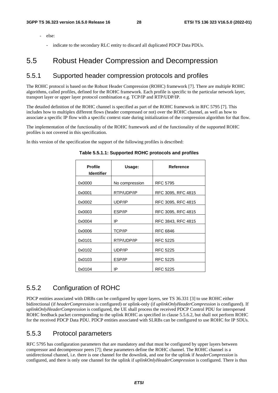- else:
	- indicate to the secondary RLC entity to discard all duplicated PDCP Data PDUs.

## 5.5 Robust Header Compression and Decompression

#### 5.5.1 Supported header compression protocols and profiles

The ROHC protocol is based on the Robust Header Compression (ROHC) framework [7]. There are multiple ROHC algorithms, called profiles, defined for the ROHC framework. Each profile is specific to the particular network layer, transport layer or upper layer protocol combination e.g. TCP/IP and RTP/UDP/IP.

The detailed definition of the ROHC channel is specified as part of the ROHC framework in RFC 5795 [7]. This includes how to multiplex different flows (header compressed or not) over the ROHC channel, as well as how to associate a specific IP flow with a specific context state during initialization of the compression algorithm for that flow.

The implementation of the functionality of the ROHC framework and of the functionality of the supported ROHC profiles is not covered in this specification.

In this version of the specification the support of the following profiles is described:

| <b>Profile</b><br><b>Identifier</b> | Usage:         | <b>Reference</b>   |
|-------------------------------------|----------------|--------------------|
| 0x0000                              | No compression | <b>RFC 5795</b>    |
| 0x0001                              | RTP/UDP/IP     | RFC 3095, RFC 4815 |
| 0x0002                              | UDP/IP         | RFC 3095, RFC 4815 |
| 0x0003                              | ESP/IP         | RFC 3095, RFC 4815 |
| 0x0004                              | IP             | RFC 3843, RFC 4815 |
| 0x0006                              | <b>TCP/IP</b>  | <b>RFC 6846</b>    |
| 0x0101                              | RTP/UDP/IP     | <b>RFC 5225</b>    |
| 0x0102                              | UDP/IP         | <b>RFC 5225</b>    |
| 0x0103                              | ESP/IP         | <b>RFC 5225</b>    |
| 0x0104                              | IP             | <b>RFC 5225</b>    |

#### **Table 5.5.1.1: Supported ROHC protocols and profiles**

### 5.5.2 Configuration of ROHC

PDCP entities associated with DRBs can be configured by upper layers, see TS 36.331 [3] to use ROHC either bidirectional (if *headerCompression* is configured) or uplink-only (if *uplinkOnlyHeaderCompression* is configured). If *uplinkOnlyHeaderCompression* is configured, the UE shall process the received PDCP Control PDU for interspersed ROHC feedback packet corresponding to the uplink ROHC as specified in clause 5.5.6.2, but shall not perform ROHC for the received PDCP Data PDU. PDCP entities associated with SLRBs can be configured to use ROHC for IP SDUs.

### 5.5.3 Protocol parameters

RFC 5795 has configuration parameters that are mandatory and that must be configured by upper layers between compressor and decompressor peers [7]; these parameters define the ROHC channel. The ROHC channel is a unidirectional channel, i.e. there is one channel for the downlink, and one for the uplink if *headerCompression* is configured, and there is only one channel for the uplink if *uplinkOnlyHeaderCompression* is configured. There is thus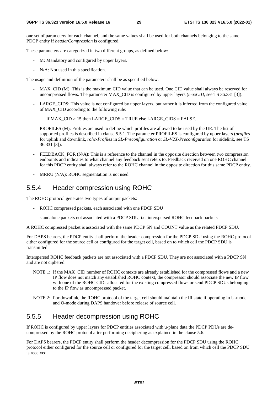one set of parameters for each channel, and the same values shall be used for both channels belonging to the same PDCP entity if *headerCompression* is configured.

These parameters are categorized in two different groups, as defined below:

- M: Mandatory and configured by upper layers.
- N/A: Not used in this specification.

The usage and definition of the parameters shall be as specified below.

- MAX\_CID (M): This is the maximum CID value that can be used. One CID value shall always be reserved for uncompressed flows. The parameter MAX\_CID is configured by upper layers (*maxCID*, see TS 36.331 [3]).
- LARGE CIDS: This value is not configured by upper layers, but rather it is inferred from the configured value of MAX\_CID according to the following rule:

If MAX\_CID > 15 then LARGE\_CIDS = TRUE else LARGE\_CIDS = FALSE.

- PROFILES (M): Profiles are used to define which profiles are allowed to be used by the UE. The list of supported profiles is described in clause 5.5.1. The parameter PROFILES is configured by upper layers (*profiles* for uplink and downlink, *rohc-Profiles* in *SL-Preconfiguration* or *SL-V2X-Preconfiguration* for sidelink, see TS 36.331 [3]).
- FEEDBACK\_FOR (N/A): This is a reference to the channel in the opposite direction between two compression endpoints and indicates to what channel any feedback sent refers to. Feedback received on one ROHC channel for this PDCP entity shall always refer to the ROHC channel in the opposite direction for this same PDCP entity.
- $MRRU$  (N/A): ROHC segmentation is not used.

#### 5.5.4 Header compression using ROHC

The ROHC protocol generates two types of output packets:

- ROHC compressed packets, each associated with one PDCP SDU
- standalone packets not associated with a PDCP SDU, i.e. interspersed ROHC feedback packets

A ROHC compressed packet is associated with the same PDCP SN and COUNT value as the related PDCP SDU.

For DAPS bearers, the PDCP entity shall perform the header compression for the PDCP SDU using the ROHC protocol either configured for the source cell or configured for the target cell, based on to which cell the PDCP SDU is transmitted.

Interspersed ROHC feedback packets are not associated with a PDCP SDU. They are not associated with a PDCP SN and are not ciphered.

- NOTE 1: If the MAX\_CID number of ROHC contexts are already established for the compressed flows and a new IP flow does not match any established ROHC context, the compressor should associate the new IP flow with one of the ROHC CIDs allocated for the existing compressed flows or send PDCP SDUs belonging to the IP flow as uncompressed packet.
- NOTE 2: For downlink, the ROHC protocol of the target cell should maintain the IR state if operating in U-mode and O-mode during DAPS handover before release of source cell.

### 5.5.5 Header decompression using ROHC

If ROHC is configured by upper layers for PDCP entities associated with u-plane data the PDCP PDUs are decompressed by the ROHC protocol after performing deciphering as explained in the clause 5.6.

For DAPS bearers, the PDCP entity shall perform the header decompression for the PDCP SDU using the ROHC protocol either configured for the source cell or configured for the target cell, based on from which cell the PDCP SDU is received.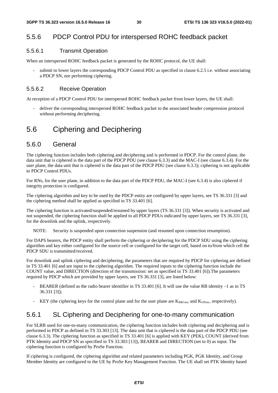### 5.5.6 PDCP Control PDU for interspersed ROHC feedback packet

#### 5.5.6.1 Transmit Operation

When an interspersed ROHC feedback packet is generated by the ROHC protocol, the UE shall:

submit to lower layers the corresponding PDCP Control PDU as specified in clause 6.2.5 i.e. without associating a PDCP SN, nor performing ciphering.

#### 5.5.6.2 Receive Operation

At reception of a PDCP Control PDU for interspersed ROHC feedback packet from lower layers, the UE shall:

- deliver the corresponding interspersed ROHC feedback packet to the associated header compression protocol without performing deciphering.

## 5.6 Ciphering and Deciphering

#### 5.6.0 General

The ciphering function includes both ciphering and deciphering and is performed in PDCP. For the control plane, the data unit that is ciphered is the data part of the PDCP PDU (see clause 6.3.3) and the MAC-I (see clause 6.3.4). For the user plane, the data unit that is ciphered is the data part of the PDCP PDU (see clause 6.3.3); ciphering is not applicable to PDCP Control PDUs.

For RNs, for the user plane, in addition to the data part of the PDCP PDU, the MAC-I (see 6.3.4) is also ciphered if integrity protection is configured.

The ciphering algorithm and key to be used by the PDCP entity are configured by upper layers, see TS 36.331 [3] and the ciphering method shall be applied as specified in TS 33.401 [6].

The ciphering function is activated/suspended/resumed by upper layers (TS 36.331 [3]). When security is activated and not suspended, the ciphering function shall be applied to all PDCP PDUs indicated by upper layers, see TS 36.331 [3], for the downlink and the uplink, respectively.

NOTE: Security is suspended upon connection suspension (and resumed upon connection resumption).

For DAPS bearers, the PDCP entity shall perform the ciphering or deciphering for the PDCP SDU using the ciphering algorithm and key either configured for the source cell or configured for the target cell, based on to/from which cell the PDCP SDU is transmitted/received.

For downlink and uplink ciphering and deciphering, the parameters that are required by PDCP for ciphering are defined in TS 33.401 [6] and are input to the ciphering algorithm. The required inputs to the ciphering function include the COUNT value, and DIRECTION (direction of the transmission: set as specified in TS 33.401 [6]).The parameters required by PDCP which are provided by upper layers, see TS 36.331 [3], are listed below:

- BEARER (defined as the radio bearer identifier in TS 33.401 [6]. It will use the value RB identity –1 as in TS 36.331 [3]);
- KEY (the ciphering keys for the control plane and for the user plane are  $K_{RRCenc}$  and  $K_{UPenc}$ , respectively).

### 5.6.1 SL Ciphering and Deciphering for one-to-many communication

For SLRB used for one-to-many communication, the ciphering function includes both ciphering and deciphering and is performed in PDCP as defined in TS 33.303 [13]. The data unit that is ciphered is the data part of the PDCP PDU (see clause 6.3.3). The ciphering function as specified in TS 33.401 [6] is applied with KEY (PEK), COUNT (derived from PTK Identity and PDCP SN as specified in TS 33.303 [13]), BEARER and DIRECTION (set to 0) as input. The ciphering function is configured by ProSe Function.

If ciphering is configured, the ciphering algorithm and related parameters including PGK, PGK Identity, and Group Member Identity are configured to the UE by ProSe Key Management Function. The UE shall set PTK Identity based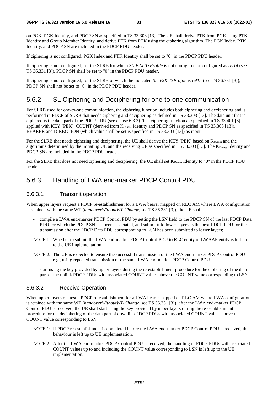on PGK, PGK Identity, and PDCP SN as specified in TS 33.303 [13]. The UE shall derive PTK from PGK using PTK Identity and Group Member Identity, and derive PEK from PTK using the ciphering algorithm. The PGK Index, PTK Identity, and PDCP SN are included in the PDCP PDU header.

If ciphering is not configured, PGK Index and PTK Identity shall be set to "0" in the PDCP PDU header.

If ciphering is not configured, for the SLRB for which *SL-V2X-TxProfile* is not configured or configured as *rel14* (see TS 36.331 [3]), PDCP SN shall be set to "0" in the PDCP PDU header.

If ciphering is not configured, for the SLRB of which the indicated *SL-V2X-TxProfile* is *rel15* (see TS 36.331 [3]), PDCP SN shall not be set to "0" in the PDCP PDU header.

#### 5.6.2 SL Ciphering and Deciphering for one-to-one communication

For SLRB used for one-to-one communication, the ciphering function includes both ciphering and deciphering and is performed in PDCP of SLRB that needs ciphering and deciphering as defined in TS 33.303 [13]. The data unit that is ciphered is the data part of the PDCP PDU (see clause 6.3.3). The ciphering function as specified in TS 33.401 [6] is applied with KEY (PEK), COUNT (derived from K<sub>D-sess</sub> Identity and PDCP SN as specified in TS 33.303 [13]), BEARER and DIRECTION (which value shall be set is specified in TS 33.303 [13]) as input.

For the SLRB that needs ciphering and deciphering, the UE shall derive the KEY (PEK) based on  $K_{D-<sub>sess</sub>}$  and the algorithms determined by the initiating UE and the receiving UE as specified in TS 33.303 [13]. The  $K_{D\text{-}\mathrm{sess}}$  Identity and PDCP SN are included in the PDCP PDU header.

For the SLRB that does not need ciphering and deciphering, the UE shall set  $K_{D\text{-}\mathrm{sess}}$  Identity to "0" in the PDCP PDU header.

### 5.6.3 Handling of LWA end-marker PDCP Control PDU

#### 5.6.3.1 Transmit operation

When upper layers request a PDCP re-establishment for a LWA bearer mapped on RLC AM where LWA configuration is retained with the same WT (*handoverWithoutWT-Change*, see TS 36.331 [3]), the UE shall:

- compile a LWA end-marker PDCP Control PDU by setting the LSN field to the PDCP SN of the last PDCP Data PDU for which the PDCP SN has been associated, and submit it to lower layers as the next PDCP PDU for the transmission after the PDCP Data PDU corresponding to LSN has been submitted to lower layers;
- NOTE 1: Whether to submit the LWA end-marker PDCP Control PDU to RLC entity or LWAAP entity is left up to the UE implementation.
- NOTE 2: The UE is expected to ensure the successful transmission of the LWA end-marker PDCP Control PDU e.g., using repeated transmission of the same LWA end-marker PDCP Control PDU.
- start using the key provided by upper layers during the re-establishment procedure for the ciphering of the data part of the uplink PDCP PDUs with associated COUNT values above the COUNT value corresponding to LSN.

#### 5.6.3.2 Receive Operation

When upper layers request a PDCP re-establishment for a LWA bearer mapped on RLC AM where LWA configuration is retained with the same WT (*handoverWithoutWT-Change*, see TS 36.331 [3]), after the LWA end-marker PDCP Control PDU is received, the UE shall start using the key provided by upper layers during the re-establishment procedure for the deciphering of the data part of downlink PDCP PDUs with associated COUNT values above the COUNT value corresponding to LSN.

- NOTE 1: If PDCP re-establishment is completed before the LWA end-marker PDCP Control PDU is received, the behaviour is left up to UE implementation.
- NOTE 2: After the LWA end-marker PDCP Control PDU is received, the handling of PDCP PDUs with associated COUNT values up to and including the COUNT value corresponding to LSN is left up to the UE implementation.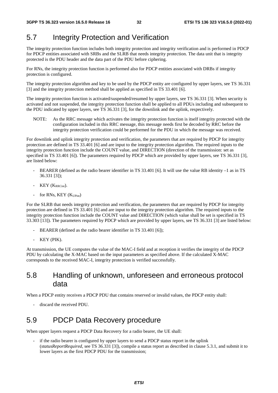## 5.7 Integrity Protection and Verification

The integrity protection function includes both integrity protection and integrity verification and is performed in PDCP for PDCP entities associated with SRBs and the SLRB that needs integrity protection. The data unit that is integrity protected is the PDU header and the data part of the PDU before ciphering.

For RNs, the integrity protection function is performed also for PDCP entities associated with DRBs if integrity protection is configured.

The integrity protection algorithm and key to be used by the PDCP entity are configured by upper layers, see TS 36.331 [3] and the integrity protection method shall be applied as specified in TS 33.401 [6].

The integrity protection function is activated/suspended/resumed by upper layers, see TS 36.331 [3]. When security is activated and not suspended, the integrity protection function shall be applied to all PDUs including and subsequent to the PDU indicated by upper layers, see TS 36.331 [3], for the downlink and the uplink, respectively.

NOTE: As the RRC message which activates the integrity protection function is itself integrity protected with the configuration included in this RRC message, this message needs first be decoded by RRC before the integrity protection verification could be performed for the PDU in which the message was received.

For downlink and uplink integrity protection and verification, the parameters that are required by PDCP for integrity protection are defined in TS 33.401 [6] and are input to the integrity protection algorithm. The required inputs to the integrity protection function include the COUNT value, and DIRECTION (direction of the transmission: set as specified in TS 33.401 [6]). The parameters required by PDCP which are provided by upper layers, see TS 36.331 [3], are listed below:

- BEARER (defined as the radio bearer identifier in TS 33.401 [6]. It will use the value RB identity –1 as in TS 36.331 [3]);
- $KEY (K_{RRCint})$ .
- for RNs, KEY (K<sub>UPint</sub>)

For the SLRB that needs integrity protection and verification, the parameters that are required by PDCP for integrity protection are defined in TS 33.401 [6] and are input to the integrity protection algorithm. The required inputs to the integrity protection function include the COUNT value and DIRECTION (which value shall be set is specified in TS 33.303 [13]). The parameters required by PDCP which are provided by upper layers, see TS 36.331 [3] are listed below:

- BEARER (defined as the radio bearer identifier in TS 33.401 [6]);
- KEY (PIK).

At transmission, the UE computes the value of the MAC-I field and at reception it verifies the integrity of the PDCP PDU by calculating the X-MAC based on the input parameters as specified above. If the calculated X-MAC corresponds to the received MAC-I, integrity protection is verified successfully.

## 5.8 Handling of unknown, unforeseen and erroneous protocol data

When a PDCP entity receives a PDCP PDU that contains reserved or invalid values, the PDCP entity shall:

discard the received PDU.

## 5.9 PDCP Data Recovery procedure

When upper layers request a PDCP Data Recovery for a radio bearer, the UE shall:

if the radio bearer is configured by upper layers to send a PDCP status report in the uplink (*statusReportRequired*, see TS 36.331 [3]), compile a status report as described in clause 5.3.1, and submit it to lower layers as the first PDCP PDU for the transmission;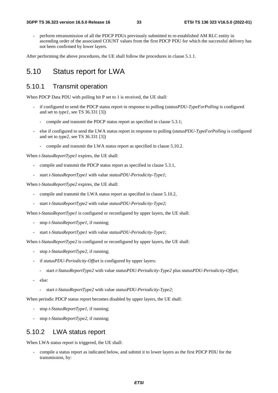perform retransmission of all the PDCP PDUs previously submitted to re-established AM RLC entity in ascending order of the associated COUNT values from the first PDCP PDU for which the successful delivery has not been confirmed by lower layers.

After performing the above procedures, the UE shall follow the procedures in clause 5.1.1.

## 5.10 Status report for LWA

#### 5.10.1 Transmit operation

When PDCP Data PDU with polling bit P set to 1 is received, the UE shall:

- if configured to send the PDCP status report in response to polling (*statusPDU-TypeForPolling* is configured and set to *type1*, see TS 36.331 [3])
	- compile and transmit the PDCP status report as specified in clause 5.3.1;
- else if configured to send the LWA status report in response to polling (*statusPDU-TypeForPolling* is configured and set to *type2*, see TS 36.331 [3])
	- compile and transmit the LWA status report as specified in clause 5.10.2.

When *t-StatusReportType1* expires, the UE shall:

- compile and transmit the PDCP status report as specified in clause 5.3.1,
- start *t-StatusReportType1* with value *statusPDU-Periodicity-Type1*;

When *t-StatusReportType2* expires, the UE shall:

- compile and transmit the LWA status report as specified in clause 5.10.2,
- start *t-StatusReportType2* with value *statusPDU-Periodicity-Type2*;

When *t-StatusReportType1* is configured or reconfigured by upper layers, the UE shall:

- stop *t-StatusReportType1,* if running;
- start *t-StatusReportType1* with value *statusPDU-Periodicity-Type1*;

When *t*-StatusReportType2 is configured or reconfigured by upper layers, the UE shall:

- stop *t-StatusReportType2,* if running;
- if *statusPDU-Periodicity-Offset* is configured by upper layers:
	- start *t-StatusReportType2* with value *statusPDU-Periodicity-Type2* plus *statusPDU-Periodicity-Offset*;
- else:
	- start *t-StatusReportType2* with value *statusPDU-Periodicity-Type2*;

When periodic PDCP status report becomes disabled by upper layers, the UE shall:

- stop *t-StatusReportType1*, if running;
- stop *t-StatusReportType2*, if running;

#### 5.10.2 LWA status report

When LWA status report is triggered, the UE shall:

compile a status report as indicated below, and submit it to lower layers as the first PDCP PDU for the transmission, by: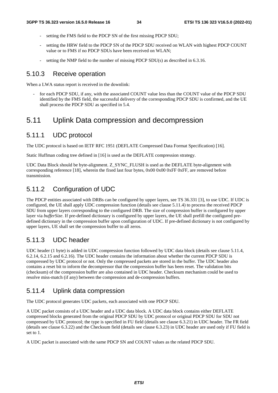- setting the FMS field to the PDCP SN of the first missing PDCP SDU;
- setting the HRW field to the PDCP SN of the PDCP SDU received on WLAN with highest PDCP COUNT value or to FMS if no PDCP SDUs have been received on WLAN;
- setting the NMP field to the number of missing PDCP SDU(s) as described in 6.3.16.

#### 5.10.3 Receive operation

When a LWA status report is received in the downlink:

for each PDCP SDU, if any, with the associated COUNT value less than the COUNT value of the PDCP SDU identified by the FMS field, the successful delivery of the corresponding PDCP SDU is confirmed, and the UE shall process the PDCP SDU as specified in 5.4.

## 5.11 Uplink Data compression and decompression

#### 5.11.1 UDC protocol

The UDC protocol is based on IETF RFC 1951 (DEFLATE Compressed Data Format Specification) [16].

Static Huffman coding tree defined in [16] is used as the DEFLATE compression strategy.

UDC Data Block should be byte-alignment. Z\_SYNC\_FLUSH is used as the DEFLATE byte-alignment with corresponding reference [18], wherein the fixed last four bytes,  $0x00\ 0x00\ 0xFF\ 0xFF$ , are removed before transmission.

## 5.11.2 Configuration of UDC

The PDCP entities associated with DRBs can be configured by upper layers, see TS 36.331 [3], to use UDC. If UDC is configured, the UE shall apply UDC compression function (details see clause 5.11.4) to process the received PDCP SDU from upper layers corresponding to the configured DRB. The size of compression buffer is configured by upper layer via *bufferSize*. If pre-defined dictionary is configured by upper layers, the UE shall prefill the configured predefined dictionary in the compression buffer upon configuration of UDC. If pre-defined dictionary is not configured by upper layers, UE shall set the compression buffer to all zeros.

## 5.11.3 UDC header

UDC header (1 byte) is added in UDC compression function followed by UDC data block (details see clause 5.11.4, 6.2.14, 6.2.15 and 6.2.16). The UDC header contains the information about whether the current PDCP SDU is compressed by UDC protocol or not. Only the compressed packets are stored in the buffer. The UDC header also contains a reset bit to inform the decompressor that the compression buffer has been reset. The validation bits (checksum) of the compression buffer are also contained in UDC header. Checksum mechanism could be used to resolve miss-match (if any) between the compression and de-compression buffers.

### 5.11.4 Uplink data compression

The UDC protocol generates UDC packets, each associated with one PDCP SDU.

A UDC packet consists of a UDC header and a UDC data block. A UDC data block contains either DEFLATE compressed blocks generated from the original PDCP SDU by UDC protocol or original PDCP SDU for SDU not compressed by UDC protocol; the type is specified in FU field (details see clause 6.3.21) in UDC header. The FR field (details see clause 6.3.22) and the Checksum field (details see clause 6.3.23) in UDC header are used only if FU field is set to 1.

A UDC packet is associated with the same PDCP SN and COUNT values as the related PDCP SDU.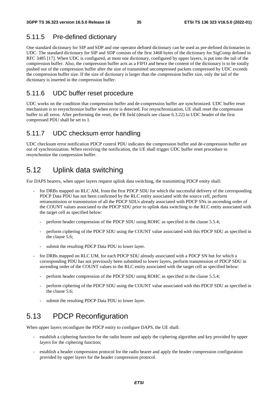## 5.11.5 Pre-defined dictionary

One standard dictionary for SIP and SDP and one operator defined dictionary can be used as pre-defined dictionaries in UDC. The standard dictionary for SIP and SDP consists of the first 3468 bytes of the dictionary for SigComp defined in RFC 3485 [17]. When UDC is configured, at most one dictionary, configured by upper layers, is put into the tail of the compression buffer. Also, the compression buffer acts as a FIFO and hence the content of the dictionary is to be totally pushed out of the compression buffer after the size of transmitted uncompressed packets compressed by UDC exceeds the compression buffer size. If the size of dictionary is larger than the compression buffer size, only the tail of the dictionary is inserted in the compression buffer.

## 5.11.6 UDC buffer reset procedure

UDC works on the condition that compression buffer and de-compression buffer are synchronized. UDC buffer reset mechanism is to resynchronize buffer when error is detected. For resynchronization, UE shall reset the compression buffer to all zeros. After performing the reset, the FR field (details see clause 6.3.22) in UDC header of the first compressed PDU shall be set to 1.

## 5.11.7 UDC checksum error handling

UDC checksum error notification PDCP control PDU indicates the compression buffer and de-compression buffer are out of synchronization. When receiving the notification, the UE shall trigger UDC buffer reset procedure to resynchonize the compression buffer.

## 5.12 Uplink data switching

For DAPS bearers, when upper layers request uplink data switching, the transmitting PDCP entity shall:

- for DRBs mapped on RLC AM, from the first PDCP SDU for which the successful delivery of the corresponding PDCP Data PDU has not been confirmed by the RLC entity associated with the source cell, perform retransmission or transmission of all the PDCP SDUs already associated with PDCP SNs in ascending order of the COUNT values associated to the PDCP SDU prior to uplink data switching to the RLC entity associated with the target cell as specified below:
	- perform header compression of the PDCP SDU using ROHC as specified in the clause 5.5.4;
	- perform ciphering of the PDCP SDU using the COUNT value associated with this PDCP SDU as specified in the clause 5.6;
	- submit the resulting PDCP Data PDU to lower layer.
- for DRBs mapped on RLC UM, for each PDCP SDU already associated with a PDCP SN but for which a corresponding PDU has not previously been submitted to lower layers, perform transmission of PDCP SDU in ascending order of the COUNT values to the RLC entity associated with the target cell as specified below:
	- perform header compression of the PDCP SDU using ROHC as specified in the clause 5.5.4;
	- perform ciphering of the PDCP SDU using the COUNT value associated with this PDCP SDU as specified in the clause 5.6;
	- submit the resulting PDCP Data PDU to lower layer.

## 5.13 PDCP Reconfiguration

When upper layers reconfigure the PDCP entity to configure DAPS, the UE shall:

- establish a ciphering function for the radio bearer and apply the ciphering algorithm and key provided by upper layers for the ciphering function;
- establish a header compression protocol for the radio bearer and apply the header compression configuration provided by upper layers for the header compression protocol.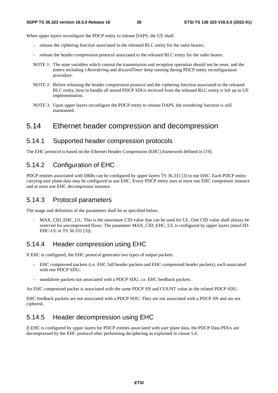When upper layers reconfigure the PDCP entity to release DAPS, the UE shall:

- release the ciphering function associated to the released RLC entity for the radio bearer;
- release the header compression protocol associated to the released RLC entity for the radio bearer.
- NOTE 1: The state variables which control the transmission and reception operation should not be reset, and the timers including *t-Reordering* and *discardTimer* keep running during PDCP entity reconfiguration procedure.
- NOTE 2: Before releasing the header compression protocol and the ciphering function associated to the released RLC entity, how to handle all stored PDCP SDUs received from the released RLC entity is left up to UE implementation.
- NOTE 3: Upon upper layers reconfigure the PDCP entity to release DAPS, the reordering function is still maintained.

## 5.14 Ethernet header compression and decompression

#### 5.14.1 Supported header compression protocols

The EHC protocol is based on the Ethernet Header Compression (EHC) framework defined in [19].

#### 5.14.2 Configuration of EHC

PDCP entities associated with DRBs can be configured by upper layers TS 36.331 [3] to use EHC. Each PDCP entity carrying user plane data may be configured to use EHC. Every PDCP entity uses at most one EHC compressor instance and at most one EHC decompressor instance.

#### 5.14.3 Protocol parameters

The usage and definition of the parameters shall be as specified below.

MAX\_CID\_EHC\_UL: This is the maximum CID value that can be used for UL. One CID value shall always be reserved for uncompressed flows. The parameter MAX\_CID\_EHC\_UL is configured by upper layers (*maxCID-EHC-UL* in TS 36.331 [3]);

#### 5.14.4 Header compression using EHC

If EHC is configured, the EHC protocol generates two types of output packets:

- EHC compressed packets (i.e. EHC full header packets and EHC compressed header packets), each associated with one PDCP SDU:
- standalone packets not associated with a PDCP SDU, i.e. EHC feedback packets.

An EHC compressed packet is associated with the same PDCP SN and COUNT value as the related PDCP SDU.

EHC feedback packets are not associated with a PDCP SDU. They are not associated with a PDCP SN and are not ciphered.

### 5.14.5 Header decompression using EHC

If EHC is configured by upper layers for PDCP entities associated with user plane data, the PDCP Data PDUs are decompressed by the EHC protocol after performing deciphering as explained in clause 5.6.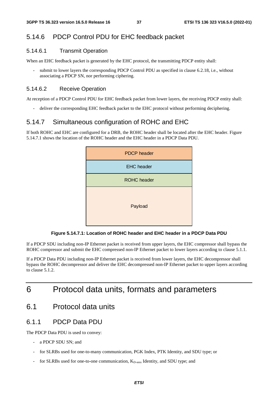## 5.14.6 PDCP Control PDU for EHC feedback packet

#### 5.14.6.1 Transmit Operation

When an EHC feedback packet is generated by the EHC protocol, the transmitting PDCP entity shall:

submit to lower layers the corresponding PDCP Control PDU as specified in clause 6.2.18, i.e., without associating a PDCP SN, nor performing ciphering.

#### 5.14.6.2 Receive Operation

At reception of a PDCP Control PDU for EHC feedback packet from lower layers, the receiving PDCP entity shall:

- deliver the corresponding EHC feedback packet to the EHC protocol without performing deciphering.

#### 5.14.7 Simultaneous configuration of ROHC and EHC

If both ROHC and EHC are configured for a DRB, the ROHC header shall be located after the EHC header. Figure 5.14.7.1 shows the location of the ROHC header and the EHC header in a PDCP Data PDU.



**Figure 5.14.7.1: Location of ROHC header and EHC header in a PDCP Data PDU** 

If a PDCP SDU including non-IP Ethernet packet is received from upper layers, the EHC compressor shall bypass the ROHC compressor and submit the EHC compressed non-IP Ethernet packet to lower layers according to clause 5.1.1.

If a PDCP Data PDU including non-IP Ethernet packet is received from lower layers, the EHC decompressor shall bypass the ROHC decompressor and deliver the EHC decompressed non-IP Ethernet packet to upper layers according to clause 5.1.2.

## 6 Protocol data units, formats and parameters

## 6.1 Protocol data units

#### 6.1.1 PDCP Data PDU

The PDCP Data PDU is used to convey:

- a PDCP SDU SN: and
- for SLRBs used for one-to-many communication, PGK Index, PTK Identity, and SDU type; or
- for SLRBs used for one-to-one communication, K<sub>D-sess</sub> Identity, and SDU type; and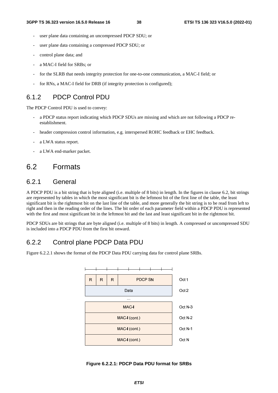- user plane data containing an uncompressed PDCP SDU; or
- user plane data containing a compressed PDCP SDU; or
- control plane data; and
- a MAC-I field for SRBs; or
- for the SLRB that needs integrity protection for one-to-one communication, a MAC-I field; or
- for RNs, a MAC-I field for DRB (if integrity protection is configured);

### 6.1.2 PDCP Control PDU

The PDCP Control PDU is used to convey:

- a PDCP status report indicating which PDCP SDUs are missing and which are not following a PDCP reestablishment.
- header compression control information, e.g. interspersed ROHC feedback or EHC feedback.
- a LWA status report.
- a LWA end-marker packet.

## 6.2 Formats

## 6.2.1 General

A PDCP PDU is a bit string that is byte aligned (i.e. multiple of 8 bits) in length. In the figures in clause 6.2, bit strings are represented by tables in which the most significant bit is the leftmost bit of the first line of the table, the least significant bit is the rightmost bit on the last line of the table, and more generally the bit string is to be read from left to right and then in the reading order of the lines. The bit order of each parameter field within a PDCP PDU is represented with the first and most significant bit in the leftmost bit and the last and least significant bit in the rightmost bit.

PDCP SDUs are bit strings that are byte aligned (i.e. multiple of 8 bits) in length. A compressed or uncompressed SDU is included into a PDCP PDU from the first bit onward.

### 6.2.2 Control plane PDCP Data PDU

Figure 6.2.2.1 shows the format of the PDCP Data PDU carrying data for control plane SRBs.



#### **Figure 6.2.2.1: PDCP Data PDU format for SRBs**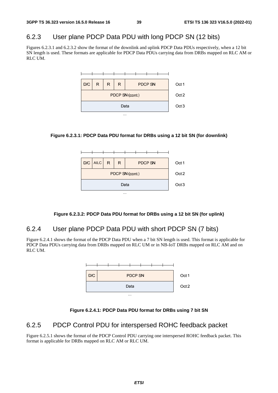## 6.2.3 User plane PDCP Data PDU with long PDCP SN (12 bits)

Figures 6.2.3.1 and 6.2.3.2 show the format of the downlink and uplink PDCP Data PDUs respectively, when a 12 bit SN length is used. These formats are applicable for PDCP Data PDUs carrying data from DRBs mapped on RLC AM or RLC UM.







#### **Figure 6.2.3.2: PDCP Data PDU format for DRBs using a 12 bit SN (for uplink)**

## 6.2.4 User plane PDCP Data PDU with short PDCP SN (7 bits)

Figure 6.2.4.1 shows the format of the PDCP Data PDU when a 7 bit SN length is used. This format is applicable for PDCP Data PDUs carrying data from DRBs mapped on RLC UM or in NB-IoT DRBs mapped on RLC AM and on RLC UM.



**Figure 6.2.4.1: PDCP Data PDU format for DRBs using 7 bit SN** 

### 6.2.5 PDCP Control PDU for interspersed ROHC feedback packet

Figure 6.2.5.1 shows the format of the PDCP Control PDU carrying one interspersed ROHC feedback packet. This format is applicable for DRBs mapped on RLC AM or RLC UM.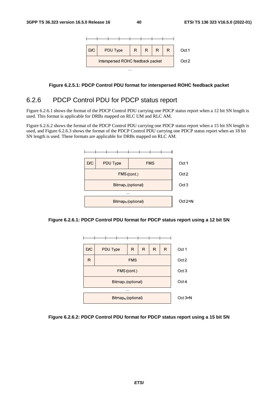

#### **Figure 6.2.5.1: PDCP Control PDU format for interspersed ROHC feedback packet**

#### 6.2.6 PDCP Control PDU for PDCP status report

Figure 6.2.6.1 shows the format of the PDCP Control PDU carrying one PDCP status report when a 12 bit SN length is used. This format is applicable for DRBs mapped on RLC UM and RLC AM.

Figure 6.2.6.2 shows the format of the PDCP Control PDU carrying one PDCP status report when a 15 bit SN length is used, and Figure 6.2.6.3 shows the format of the PDCP Control PDU carrying one PDCP status report when an 18 bit SN length is used. These formats are applicable for DRBs mapped on RLC AM.







#### **Figure 6.2.6.2: PDCP Control PDU format for PDCP status report using a 15 bit SN**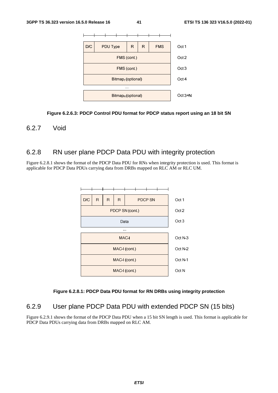

#### **Figure 6.2.6.3: PDCP Control PDU format for PDCP status report using an 18 bit SN**

#### 6.2.7 Void

## 6.2.8 RN user plane PDCP Data PDU with integrity protection

Figure 6.2.8.1 shows the format of the PDCP Data PDU for RNs when integrity protection is used. This format is applicable for PDCP Data PDUs carrying data from DRBs mapped on RLC AM or RLC UM.



#### **Figure 6.2.8.1: PDCP Data PDU format for RN DRBs using integrity protection**

## 6.2.9 User plane PDCP Data PDU with extended PDCP SN (15 bits)

Figure 6.2.9.1 shows the format of the PDCP Data PDU when a 15 bit SN length is used. This format is applicable for PDCP Data PDUs carrying data from DRBs mapped on RLC AM.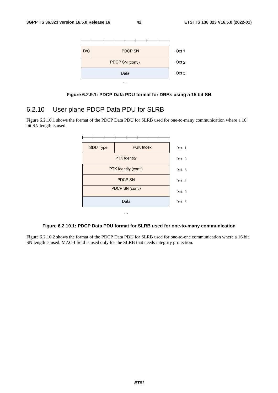

**Figure 6.2.9.1: PDCP Data PDU format for DRBs using a 15 bit SN** 

#### 6.2.10 User plane PDCP Data PDU for SLRB

Figure 6.2.10.1 shows the format of the PDCP Data PDU for SLRB used for one-to-many communication where a 16 bit SN length is used.



#### **Figure 6.2.10.1: PDCP Data PDU format for SLRB used for one-to-many communication**

Figure 6.2.10.2 shows the format of the PDCP Data PDU for SLRB used for one-to-one communication where a 16 bit SN length is used. MAC-I field is used only for the SLRB that needs integrity protection.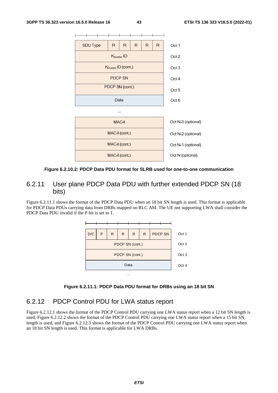

#### **Figure 6.2.10.2: PDCP Data PDU format for SLRB used for one-to-one communication**

## 6.2.11 User plane PDCP Data PDU with further extended PDCP SN (18 bits)

Figure 6.2.11.1 shows the format of the PDCP Data PDU when an 18 bit SN length is used. This format is applicable for PDCP Data PDUs carrying data from DRBs mapped on RLC AM. The UE not supporting LWA shall consider the PDCP Data PDU invalid if the P bit is set to 1.





### 6.2.12 PDCP Control PDU for LWA status report

Figure 6.2.12.1 shows the format of the PDCP Control PDU carrying one LWA status report when a 12 bit SN length is used, Figure 6.2.12.2 shows the format of the PDCP Control PDU carrying one LWA status report when a 15 bit SN length is used, and Figure 6.2.12.3 shows the format of the PDCP Control PDU carrying one LWA status report when an 18 bit SN length is used. This format is applicable for LWA DRBs.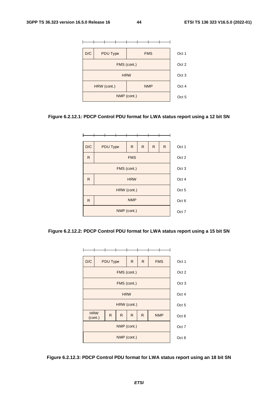

#### **Figure 6.2.12.1: PDCP Control PDU format for LWA status report using a 12 bit SN**



#### **Figure 6.2.12.2: PDCP Control PDU format for LWA status report using a 15 bit SN**



#### **Figure 6.2.12.3: PDCP Control PDU format for LWA status report using an 18 bit SN**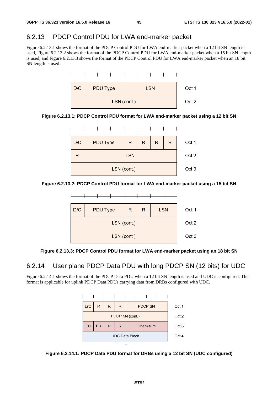## 6.2.13 PDCP Control PDU for LWA end-marker packet

Figure 6.2.13.1 shows the format of the PDCP Control PDU for LWA end-marker packet when a 12 bit SN length is used, Figure 6.2.13.2 shows the format of the PDCP Control PDU for LWA end-marker packet when a 15 bit SN length is used, and Figure 6.2.13.3 shows the format of the PDCP Control PDU for LWA end-marker packet when an 18 bit SN length is used.



**Figure 6.2.13.1: PDCP Control PDU format for LWA end-marker packet using a 12 bit SN** 



**Figure 6.2.13.2: PDCP Control PDU format for LWA end-marker packet using a 15 bit SN** 



#### **Figure 6.2.13.3: PDCP Control PDU format for LWA end-marker packet using an 18 bit SN**

## 6.2.14 User plane PDCP Data PDU with long PDCP SN (12 bits) for UDC

Figure 6.2.14.1 shows the format of the PDCP Data PDU when a 12 bit SN length is used and UDC is configured. This format is applicable for uplink PDCP Data PDUs carrying data from DRBs configured with UDC.



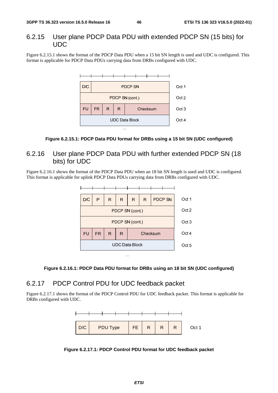#### 6.2.15 User plane PDCP Data PDU with extended PDCP SN (15 bits) for UDC

Figure 6.2.15.1 shows the format of the PDCP Data PDU when a 15 bit SN length is used and UDC is configured. This format is applicable for PDCP Data PDUs carrying data from DRBs configured with UDC.





## 6.2.16 User plane PDCP Data PDU with further extended PDCP SN (18 bits) for UDC

Figure 6.2.16.1 shows the format of the PDCP Data PDU when an 18 bit SN length is used and UDC is configured. This format is applicable for uplink PDCP Data PDUs carrying data from DRBs configured with UDC.





### 6.2.17 PDCP Control PDU for UDC feedback packet

Figure 6.2.17.1 shows the format of the PDCP Control PDU for UDC feedback packet. This format is applicable for DRBs configured with UDC.



**Figure 6.2.17.1: PDCP Control PDU format for UDC feedback packet**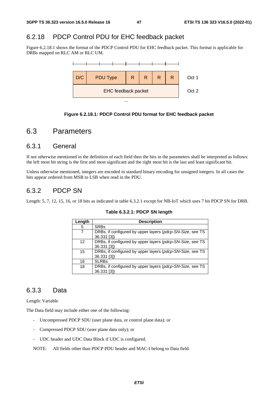## 6.2.18 PDCP Control PDU for EHC feedback packet

Figure 6.2.18.1 shows the format of the PDCP Control PDU for EHC feedback packet. This format is applicable for DRBs mapped on RLC AM or RLC UM.



#### **Figure 6.2.18.1: PDCP Control PDU format for EHC feedback packet**

## 6.3 Parameters

#### 6.3.1 General

If not otherwise mentioned in the definition of each field then the bits in the parameters shall be interpreted as follows: the left most bit string is the first and most significant and the right most bit is the last and least significant bit.

Unless otherwise mentioned, integers are encoded in standard binary encoding for unsigned integers. In all cases the bits appear ordered from MSB to LSB when read in the PDU.

## 6.3.2 PDCP SN

Length: 5, 7, 12, 15, 16, or 18 bits as indicated in table 6.3.2.1 except for NB-IoT which uses 7 bit PDCP SN for DRB.

| Length | <b>Description</b>                                                       |
|--------|--------------------------------------------------------------------------|
| 5      | <b>SRBs</b>                                                              |
|        | DRBs, if configured by upper layers (pdcp-SN-Size, see TS<br>36.331 [3]) |
| 12     | DRBs, if configured by upper layers (pdcp-SN-Size, see TS<br>36.331 [3]) |
| 15     | DRBs, if configured by upper layers (pdcp-SN-Size, see TS<br>36.331 [3]) |
| 16     | <b>SLRBs</b>                                                             |
| 18     | DRBs, if configured by upper layers (pdcp-SN-Size, see TS<br>36.331 [3]  |

#### **Table 6.3.2.1: PDCP SN length**

### 6.3.3 Data

Length: Variable

The Data field may include either one of the following:

- Uncompressed PDCP SDU (user plane data, or control plane data); or
- Compressed PDCP SDU (user plane data only); or
- UDC header and UDC Data Block if UDC is configured.

NOTE: All fields other than PDCP PDU header and MAC-I belong to Data field.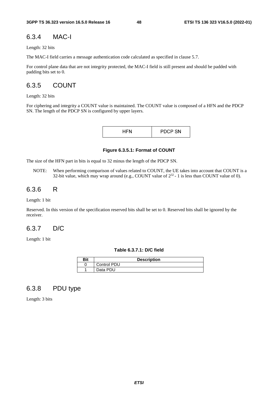#### 6.3.4 MAC-I

Length: 32 bits

The MAC-I field carries a message authentication code calculated as specified in clause 5.7.

For control plane data that are not integrity protected, the MAC-I field is still present and should be padded with padding bits set to 0.

## 6.3.5 COUNT

Length: 32 bits

For ciphering and integrity a COUNT value is maintained. The COUNT value is composed of a HFN and the PDCP SN. The length of the PDCP SN is configured by upper layers.

| <b>PDCP SN</b> |
|----------------|
|----------------|

**Figure 6.3.5.1: Format of COUNT** 

The size of the HFN part in bits is equal to 32 minus the length of the PDCP SN.

NOTE: When performing comparison of values related to COUNT, the UE takes into account that COUNT is a 32-bit value, which may wrap around (e.g., COUNT value of  $2^{32}$  - 1 is less than COUNT value of 0).

#### 6.3.6 R

Length: 1 bit

Reserved. In this version of the specification reserved bits shall be set to 0. Reserved bits shall be ignored by the receiver.

### 6.3.7 D/C

Length: 1 bit

**Table 6.3.7.1: D/C field** 

| Bit | <b>Description</b> |
|-----|--------------------|
|     | <b>Control PDU</b> |
|     | Data PDU           |

### 6.3.8 PDU type

Length: 3 bits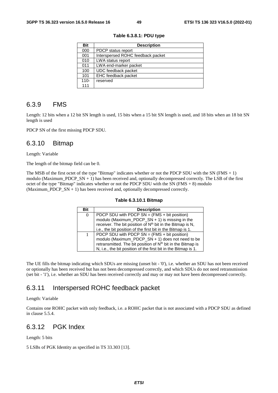| Bit     | <b>Description</b>                |
|---------|-----------------------------------|
| 000     | PDCP status report                |
| 001     | Interspersed ROHC feedback packet |
| 010     | LWA status report                 |
| 011     | LWA end-marker packet             |
| 100     | UDC feedback packet               |
| 101     | EHC feedback packet               |
| $110 -$ | reserved                          |
| 111     |                                   |

**Table 6.3.8.1: PDU type** 

#### 6.3.9 FMS

Length: 12 bits when a 12 bit SN length is used, 15 bits when a 15 bit SN length is used, and 18 bits when an 18 bit SN length is used

PDCP SN of the first missing PDCP SDU.

#### 6.3.10 Bitmap

Length: Variable

The length of the bitmap field can be 0.

The MSB of the first octet of the type "Bitmap" indicates whether or not the PDCP SDU with the SN (FMS + 1) modulo (Maximum\_PDCP\_SN + 1) has been received and, optionally decompressed correctly. The LSB of the first octet of the type "Bitmap" indicates whether or not the PDCP SDU with the SN ( $FMS + 8$ ) modulo (Maximum\_PDCP\_SN + 1) has been received and, optionally decompressed correctly.

| Table 6.3.10.1 Bitmap |  |
|-----------------------|--|
|-----------------------|--|

| <b>Bit</b> | <b>Description</b>                                                      |
|------------|-------------------------------------------------------------------------|
| $\Omega$   | PDCP SDU with PDCP SN = $(FMS + bit position)$                          |
|            | modulo (Maximum_PDCP_SN + 1) is missing in the                          |
|            | receiver. The bit position of N <sup>th</sup> bit in the Bitmap is N,   |
|            | i.e., the bit position of the first bit in the Bitmap is 1.             |
|            | PDCP SDU with PDCP $SN = (FMS + bit position)$                          |
|            | modulo (Maximum_PDCP_SN + 1) does not need to be                        |
|            | retransmitted. The bit position of N <sup>th</sup> bit in the Bitmap is |
|            | N, i.e., the bit position of the first bit in the Bitmap is 1.          |

The UE fills the bitmap indicating which SDUs are missing (unset bit - '0'), i.e. whether an SDU has not been received or optionally has been received but has not been decompressed correctly, and which SDUs do not need retransmission (set bit - '1'), i.e. whether an SDU has been received correctly and may or may not have been decompressed correctly.

### 6.3.11 Interspersed ROHC feedback packet

#### Length: Variable

Contains one ROHC packet with only feedback, i.e. a ROHC packet that is not associated with a PDCP SDU as defined in clause 5.5.4.

#### 6.3.12 PGK Index

Length: 5 bits

5 LSBs of PGK Identity as specified in TS 33.303 [13].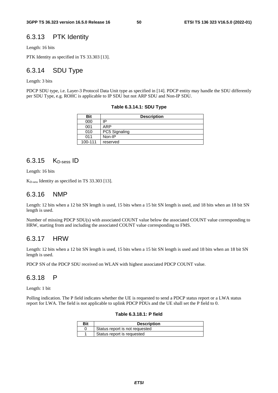#### 6.3.13 PTK Identity

Length: 16 bits

PTK Identity as specified in TS 33.303 [13].

## 6.3.14 SDU Type

Length: 3 bits

PDCP SDU type, i.e. Layer-3 Protocol Data Unit type as specified in [14]. PDCP entity may handle the SDU differently per SDU Type, e.g. ROHC is applicable to IP SDU but not ARP SDU and Non-IP SDU.

**Table 6.3.14.1: SDU Type** 

| Bit     | <b>Description</b> |  |  |  |  |  |  |
|---------|--------------------|--|--|--|--|--|--|
| 000     | ID                 |  |  |  |  |  |  |
| 001     | ARP                |  |  |  |  |  |  |
| 010     | PC5 Signaling      |  |  |  |  |  |  |
| 011     | Non-IP             |  |  |  |  |  |  |
| 100-111 | reserved           |  |  |  |  |  |  |

### 6.3.15 K<sub>D-sess</sub> ID

Length: 16 bits

KD-sess Identity as specified in TS 33.303 [13].

#### 6.3.16 NMP

Length: 12 bits when a 12 bit SN length is used, 15 bits when a 15 bit SN length is used, and 18 bits when an 18 bit SN length is used.

Number of missing PDCP SDU(s) with associated COUNT value below the associated COUNT value corresponding to HRW, starting from and including the associated COUNT value corresponding to FMS.

#### 6.3.17 HRW

Length: 12 bits when a 12 bit SN length is used, 15 bits when a 15 bit SN length is used and 18 bits when an 18 bit SN length is used.

PDCP SN of the PDCP SDU received on WLAN with highest associated PDCP COUNT value.

#### 6.3.18 P

Length: 1 bit

Polling indication. The P field indicates whether the UE is requested to send a PDCP status report or a LWA status report for LWA. The field is not applicable to uplink PDCP PDUs and the UE shall set the P field to 0.

#### **Table 6.3.18.1: P field**

| Bit | <b>Description</b>             |  |  |  |  |  |  |
|-----|--------------------------------|--|--|--|--|--|--|
|     | Status report is not requested |  |  |  |  |  |  |
|     | Status report is requested     |  |  |  |  |  |  |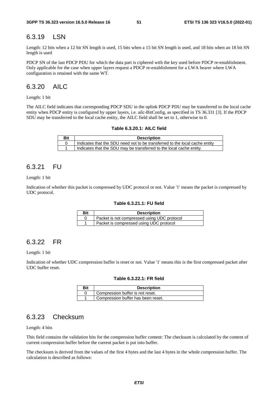#### 6.3.19 LSN

Length: 12 bits when a 12 bit SN length is used, 15 bits when a 15 bit SN length is used, and 18 bits when an 18 bit SN length is used

PDCP SN of the last PDCP PDU for which the data part is ciphered with the key used before PDCP re-establishment. Only applicable for the case when upper layers request a PDCP re-establishment for a LWA bearer where LWA configuration is retained with the same WT.

## 6.3.20 AILC

Length: 1 bit

The AILC field indicates that corresponding PDCP SDU in the uplink PDCP PDU may be transferred to the local cache entity when PDCP entity is configured by upper layers, i.e. ailc-BitConfig, as specified in TS 36.331 [3]. If the PDCP SDU may be transferred to the local cache entity, the AILC field shall be set to 1, otherwise to 0.

| Table 6.3.20.1: AILC field |
|----------------------------|
|----------------------------|

| Bit | <b>Description</b>                                                          |
|-----|-----------------------------------------------------------------------------|
|     | Indicates that the SDU need not to be transferred to the local cache entity |
|     | Indicates that the SDU may be transferred to the local cache entity.        |

#### 6.3.21 FU

Length: 1 bit

Indication of whether this packet is compressed by UDC protocol or not. Value '1' means the packet is compressed by UDC protocol.

#### **Table 6.3.21.1: FU field**

| <b>Bit</b> | <b>Description</b>                          |  |  |  |  |  |  |
|------------|---------------------------------------------|--|--|--|--|--|--|
|            | Packet is not compressed using UDC protocol |  |  |  |  |  |  |
|            | Packet is compressed using UDC protocol     |  |  |  |  |  |  |

#### 6.3.22 FR

Length: 1 bit

Indication of whether UDC compression buffer is reset or not. Value '1' means this is the first compressed packet after UDC buffer reset.

#### **Table 6.3.22.1: FR field**

| Bit | <b>Description</b>                 |  |  |  |  |  |  |
|-----|------------------------------------|--|--|--|--|--|--|
|     | Compression buffer is not reset.   |  |  |  |  |  |  |
|     | Compression buffer has been reset. |  |  |  |  |  |  |

## 6.3.23 Checksum

Length: 4 bits

This field contains the validation bits for the compression buffer content: The checksum is calculated by the content of current compression buffer before the current packet is put into buffer.

The checksum is derived from the values of the first 4 bytes and the last 4 bytes in the whole compression buffer. The calculation is described as follows: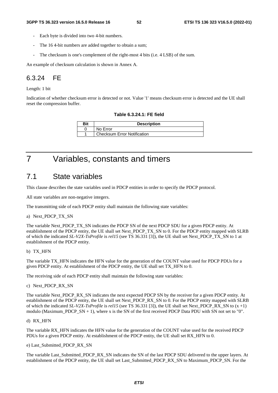- Each byte is divided into two 4-bit numbers.
- The 164-bit numbers are added together to obtain a sum;
- The checksum is one's complement of the right-most 4 bits (i.e. 4 LSB) of the sum.

An example of checksum calculation is shown in Annex A.

## 6.3.24 FE

Length: 1 bit

Indication of whether checksum error is detected or not. Value '1' means checksum error is detected and the UE shall reset the compression buffer.

#### **Table 6.3.24.1: FE field**

| Bit | <b>Description</b>                 |  |  |  |  |  |
|-----|------------------------------------|--|--|--|--|--|
|     | No Error                           |  |  |  |  |  |
|     | <b>Checksum Error Notification</b> |  |  |  |  |  |

## 7 Variables, constants and timers

## 7.1 State variables

This clause describes the state variables used in PDCP entities in order to specify the PDCP protocol.

All state variables are non-negative integers.

The transmitting side of each PDCP entity shall maintain the following state variables:

#### a) Next\_PDCP\_TX\_SN

The variable Next\_PDCP\_TX\_SN indicates the PDCP SN of the next PDCP SDU for a given PDCP entity. At establishment of the PDCP entity, the UE shall set Next\_PDCP\_TX\_SN to 0. For the PDCP entity mapped with SLRB of which the indicated *SL-V2X-TxProfile* is *rel15* (see TS 36.331 [3]), the UE shall set Next\_PDCP\_TX\_SN to 1 at establishment of the PDCP entity.

#### b) TX\_HFN

The variable TX\_HFN indicates the HFN value for the generation of the COUNT value used for PDCP PDUs for a given PDCP entity. At establishment of the PDCP entity, the UE shall set TX\_HFN to 0.

The receiving side of each PDCP entity shall maintain the following state variables:

c) Next\_PDCP\_RX\_SN

The variable Next\_PDCP\_RX\_SN indicates the next expected PDCP SN by the receiver for a given PDCP entity. At establishment of the PDCP entity, the UE shall set Next\_PDCP\_RX\_SN to 0. For the PDCP entity mapped with SLRB of which the indicated *SL-V2X-TxProfile* is *rel15* (see TS 36.331 [3]), the UE shall set Next\_PDCP\_RX\_SN to (x +1) modulo (Maximum\_PDCP\_SN + 1), where x is the SN of the first received PDCP Data PDU with SN not set to "0".

#### d) RX\_HFN

The variable RX\_HFN indicates the HFN value for the generation of the COUNT value used for the received PDCP PDUs for a given PDCP entity. At establishment of the PDCP entity, the UE shall set RX\_HFN to 0.

#### e) Last\_Submitted\_PDCP\_RX\_SN

The variable Last Submitted PDCP\_RX\_SN indicates the SN of the last PDCP SDU delivered to the upper layers. At establishment of the PDCP entity, the UE shall set Last\_Submitted\_PDCP\_RX\_SN to Maximum\_PDCP\_SN. For the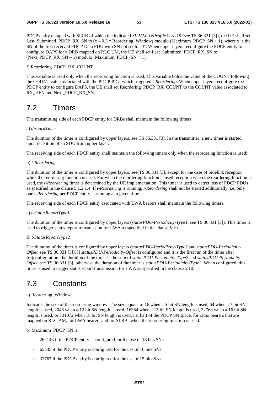PDCP entity mapped with SLRB of which the indicated *SL-V2X-TxProfile* is *rel15* (see TS 36.331 [3]), the UE shall set Last\_Submitted\_PDCP\_RX\_SN to  $(x - 0.5 *$  Reordering\_Window) modulo (Maximum\_PDCP\_SN + 1), where x is the SN of the first received PDCP Data PDU with SN not set to "0". When upper layers reconfigure the PDCP entity to configure DAPS for a DRB mapped on RLC UM, the UE shall set Last\_Submitted\_PDCP\_RX\_SN to  $(Next\_PDCP_RX_SN - 1)$  modulo  $(Maximum\_PDCP_SN + 1)$ .

#### f) Reordering\_PDCP\_RX\_COUNT

This variable is used only when the reordering function is used. This variable holds the value of the COUNT following the COUNT value associated with the PDCP PDU which triggered *t-Reordering*. When upper layers reconfigure the PDCP entity to configure DAPS, the UE shall set Reordering\_PDCP\_RX\_COUNT to the COUNT value associated to RX HFN and Next PDCP\_RX\_SN.

## 7.2 Timers

The transmitting side of each PDCP entity for DRBs shall maintain the following timers:

#### a) *discardTimer*

The duration of the timer is configured by upper layers, see TS 36.331 [3]. In the transmitter, a new timer is started upon reception of an SDU from upper layer.

The receiving side of each PDCP entity shall maintain the following timers only when the reordering function is used:

#### b) *t-Reordering*

The duration of the timer is configured by upper layers, see(TS 36.331 [3], except for the case of Sidelink reception when the reordering function is used. For when the reordering function is used reception when the reordering function is used, the *t-Reordering* timer is determined by the UE implementation. This timer is used to detect loss of PDCP PDUs as specified in the clause 5.1.2.1.4. If *t-Reordering* is running, *t-Reordering* shall not be started additionally, i.e. only one *t-Reordering* per PDCP entity is running at a given time.

The receiving side of each PDCP entity associated with LWA bearers shall maintain the following timers:

#### c) *t-StatusReportType1*

The duration of the timer is configured by upper layers (*statusPDU-Periodicity-Type1*, see TS 36.331 [3]). This timer is used to trigger status report transmission for LWA as specified in the clause 5.10.

#### d) *t-StatusReportType2*

The duration of the timer is configured by upper layers (*statusPDU-Periodicity-Type2* and *statusPDU-Periodicity-Offset*, see TS 36.331 [3]). If *statusPDU-Periodicity-Offset* is configured and it is the first run of the timer after (re)configuration, the duration of the timer is the sum of *statusPDU-Periodicity-Type2* and *statusPDU-Periodicity-Offset*, see TS 36.331 [3], otherwise the duration of the timer is *statusPDU-Periodicity-Type2*. When configured, this timer is used to trigger status report transmission for LWA as specified in the clause 5.10.

## 7.3 Constants

#### a) Reordering\_Window

Indicates the size of the reordering window. The size equals to 16 when a 5 bit SN length is used, 64 when a 7 bit SN length is used, 2048 when a 12 bit SN length is used, 16384 when a 15 bit SN length is used, 32768 when a 16 bit SN length is used, or 131072 when 18 bit SN length is used, i.e. half of the PDCP SN space, for radio bearers that are mapped on RLC AM, for LWA bearers and for SLRBs when the reordering function is used.

#### b) Maximum\_PDCP\_SN is:

- 262143 if the PDCP entity is configured for the use of 18 bits SNs
- 65535 if the PDCP entity is configured for the use of 16 bits SNs
- 32767 if the PDCP entity is configured for the use of 15 bits SNs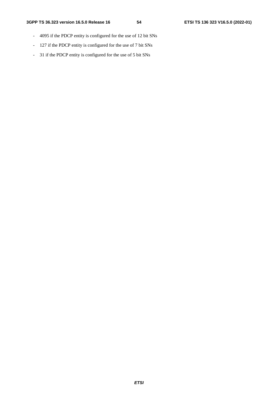- 4095 if the PDCP entity is configured for the use of 12 bit SNs
- 127 if the PDCP entity is configured for the use of 7 bit SNs
- 31 if the PDCP entity is configured for the use of 5 bit SNs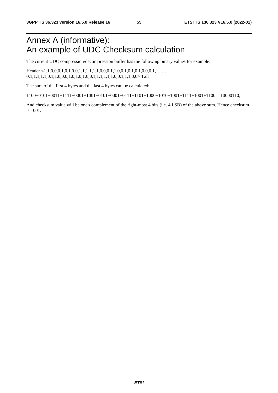## Annex A (informative): An example of UDC Checksum calculation

The current UDC compression/decompression buffer has the following binary values for example:

Header <1,1,0,0,0,1,0,1,0,0,1,1,1,1,1,1,0,0,0,1,1,0,0,1,0,1,0,0,0,1, ……, 0,1,1,1,1,0,1,1,0,0,0,1,0,1,0,1,0,0,1,1,1,1,1,1,0,0,1,1,1,0,0>Tail

The sum of the first 4 bytes and the last 4 bytes can be calculated:

 $1100+0101+0011+1111+0001+1001+0101+0001+0111+1101+1000+1010+1101+11001+1100 = 10000110$ ;

And checksum value will be one's complement of the right-most 4 bits (i.e. 4 LSB) of the above sum. Hence checksum is 1001.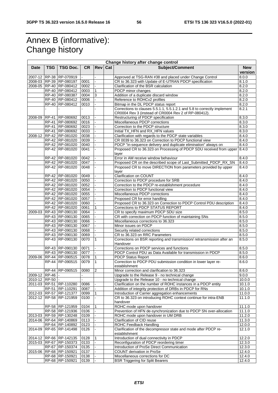## Annex B (informative): Change history

|                 | Change history after change control |                         |           |                |     |                                                                           |                       |
|-----------------|-------------------------------------|-------------------------|-----------|----------------|-----|---------------------------------------------------------------------------|-----------------------|
| <b>Date</b>     | <b>TSG</b>                          | <b>TSG Doc.</b>         | <b>CR</b> | <b>Rev</b>     | Cat | Subject/Comment                                                           | <b>New</b><br>version |
|                 |                                     | 2007-12 RP-38 RP-070919 |           |                |     | Approved at TSG-RAN #38 and placed under Change Control                   | 8.0.0                 |
|                 |                                     | 2008-03 RP-39 RP-080197 | 0001      |                |     | CR to 36.323 with Update of E-UTRAN PDCP specification                    | 8.1.0                 |
|                 |                                     | 2008-05 RP-40 RP-080412 | 0002      |                |     | Clarification of the BSR calculation                                      | 8.2.0                 |
|                 |                                     | RP-40 RP-080412         | 0003      | $\mathbf{1}$   |     | PDCP minor changes                                                        | 8.2.0                 |
|                 |                                     | RP-40 RP-080387         | 0004      | 3              |     | Addition of a duplicate discard window                                    | 8.2.0                 |
|                 |                                     | RP-40 RP-080412         | 0006      |                |     | Reference to ROHCv2 profiles                                              | 8.2.0                 |
|                 |                                     | RP-40 RP-080412         | 0010      |                |     | Bitmap in the DL PDCP status report                                       | 8.2.0                 |
|                 |                                     |                         |           |                |     | Corrections to clauses 5.5.1.1, 5.5.1.2.1 and 5.8 to correctly implement  | 8.2.1                 |
|                 |                                     |                         |           |                |     | CR0004 Rev 3 (instead of CR0004 Rev 2 of RP-080412).                      |                       |
|                 |                                     | 2008-09 RP-41 RP-080692 | 0013      |                |     | Restructuring of PDCP specification                                       | 8.3.0                 |
|                 |                                     | RP-41 RP-080692         | 0016      |                |     | Miscellaneous PDCP corrections                                            | 8.3.0                 |
|                 |                                     | RP-41 RP-080692         | 0023      |                |     | Correction to the PDCP structure                                          | 8.3.0                 |
|                 |                                     | RP-41 RP-080692         | 0033      |                |     | Initial TX_HFN and RX_HFN values                                          | 8.3.0                 |
| 2008-12         |                                     | RP-42 RP-081020         | 0038      |                |     | Clarification with regards to the PDCP state variables                    | 8.4.0                 |
|                 |                                     | RP-42 RP-081020         | 0039      |                |     | CR 0039 to 36.323 on Correction to PDCP functional view                   | 8.4.0                 |
|                 |                                     | RP-42 RP-081020         | 0040      |                |     | PDCP "in-sequence delivery and duplicate elimination" always on           | 8.4.0                 |
|                 |                                     | RP-42 RP-081020         | 0041      |                |     | Proposed CR to 36.323 on Processing of PDCP SDU received from upper 8.4.0 |                       |
|                 |                                     |                         |           |                |     | layer                                                                     |                       |
|                 |                                     | RP-42 RP-081020         | 0042      |                |     | Error in AM receive window behaviour                                      | 8.4.0                 |
|                 |                                     | RP-42 RP-081020         | 0047      |                |     | Proposed CR on the described scope of Last_Submitted_PDCP_RX_SN           | 8.4.0                 |
|                 |                                     | RP-42 RP-081020         | 0048      |                |     | Proposed CR to move DIRECTION from parameters provided by upper           | 8.4.0                 |
|                 |                                     |                         |           |                |     | layer                                                                     |                       |
|                 |                                     | RP-42 RP-081020         | 0049      |                |     | <b>Clarification on COUNT</b>                                             | 8.4.0                 |
|                 |                                     | RP-42 RP-081020         | 0050      |                |     | Correction to PDCP procedure for SRB                                      | 8.4.0                 |
|                 |                                     | RP-42 RP-081020         | 0052      |                |     | Correction to the PDCP re-establishment procedure                         | 8.4.0                 |
|                 |                                     | RP-42 RP-081020         | 0054      |                |     | Correction to PDCP functional view                                        | 8.4.0                 |
|                 |                                     | RP-42 RP-081020         | 0055      |                |     | Miscellaneous PDCP corrections                                            | 8.4.0                 |
|                 |                                     | RP-42 RP-081020         | 0057      |                |     | Proposed CR for error handling                                            | 8.4.0                 |
|                 |                                     | RP-42 RP-081020         | 0060      |                |     | Proposed CR to 36.323 on Correction to PDCP Control PDU description       | 8.4.0                 |
|                 |                                     | RP-42 RP-081020         | 0061      |                |     | Corrections to PDCP STATUS REPORT                                         | 8.4.0                 |
|                 |                                     | 2009-03 RP-43 RP-090130 | 0064      |                |     | CR to specify maximum PDCP SDU size                                       | 8.5.0                 |
|                 |                                     | RP-43 RP-090130         | 0065      |                |     | CR with correction on PDCP function of maintaining SNs                    | 8.5.0                 |
|                 |                                     | RP-43 RP-090130         | 0066      |                |     | Miscellaneous corrections to 36.323                                       | 8.5.0                 |
|                 |                                     | RP-43 RP-090130         | 0067      |                |     | Minor issues on PDCP                                                      | 8.5.0                 |
|                 |                                     | RP-43 RP-090130         | 0068      |                |     | Security related corrections                                              | 8.5.0                 |
|                 |                                     | RP-43 RP-090130         | 0069      |                |     | CR to 36.323 on RRC Parameters                                            | 8.5.0                 |
|                 |                                     | RP-43 RP-090130         | 0070      | $\mathbf{1}$   |     | Corrections on BSR reporting and transmission/ retransmission after an    | 8.5.0                 |
|                 |                                     |                         |           |                |     | Handover                                                                  |                       |
|                 |                                     | RP-43 RP-090130         | 0071      |                |     | Corrections on PDCP services and functions                                | 8.5.0                 |
|                 |                                     | RP-43 RP-090130         | 0077      |                |     | PDCP Control PDU as Data Available for transmission in PDCP               | 8.5.0                 |
|                 |                                     | 2009-06 RP-44 RP-090515 | 0078      | $\mathbf{1}$   |     | <b>PDCP Status Report</b>                                                 | 8.6.0                 |
|                 |                                     | RP-44 RP-090515         | 0079      | $\mathbf{1}$   |     | Correction to PDCP PDU submission condition in lower layer re-            | 8.6.0                 |
|                 |                                     |                         |           |                |     | establishment                                                             |                       |
|                 |                                     | RP-44 RP-090515 0080    |           | $\overline{2}$ |     | Minor correction and clarification to 36.323                              | 8.6.0                 |
| 2009-12 RP-46 - |                                     |                         |           |                |     | Upgrade to the Release 9 - no technical change                            | 9.0.0                 |
| 2010-12 RP-50 - |                                     |                         |           |                |     | Upgrade to the Release 10 - no technical change                           | 10.0.0                |
|                 |                                     | 2011-03 RP-51 RP-110280 | 0086      |                |     | Clarification on the number of ROHC instances in a PDCP entity            | 10.1.0                |
|                 | RP-51                               | RP-110291               | 0087      |                |     | Addition of integrity protection of DRBs in PDCP for RNs                  | 10.1.0                |
|                 |                                     | 2012-03 RP-57 RP-121377 | 0099      | 1              |     | Introduction of Carrier aggregation enhancements                          | 11.0.0                |
|                 |                                     | 2012-12 RP-58 RP-121959 | 0100      |                |     | CR to 36.323 on introducing ROHC context continue for intra-ENB           | 11.1.0                |
|                 |                                     |                         |           |                |     | handover                                                                  |                       |
|                 |                                     | RP-58 RP-121959         | 0104      |                |     | ROHC mode upon handover                                                   | 11.1.0                |
|                 |                                     | RP-58 RP-121936         | 0106      |                |     | Prevention of HFN de-synchronization due to PDCP SN over-allocation       | 11.1.0                |
|                 |                                     | 2013-03 RP-59 RP-130248 | 0109      |                |     | ROHC mode upon handover in UM DRB                                         | 11.2.0                |
|                 |                                     | 2014-06 RP-64 RP-140869 | 0113      |                |     | Clarification of CID reuse                                                | 11.3.0                |
|                 |                                     | RP-64 RP-140892         | 0123      |                |     | ROHC Feedback Handling                                                    | 12.0.0                |
|                 |                                     | 2014-09 RP-65 RP-141498 | 0126      |                |     | Clarification of the decompressor state and mode after PDCP re-           | 12.1.0                |
|                 |                                     |                         |           |                |     | establishment                                                             |                       |
|                 |                                     | 2014-12 RP-66 RP-142135 | 0128      | $\mathbf 1$    |     | Introduction of dual connectivity in PDCP                                 | 12.2.0                |
|                 |                                     | 2015-03 RP-67 RP-150373 | 0133      |                |     | Reconfiguration of PDCP reordering timer                                  | 12.3.0                |
|                 |                                     | RP-67 RP-150374         | 0135      |                |     | Introduction of ProSe Direct Communication                                | 12.3.0                |
|                 |                                     | 2015-06 RP-68 RP-150921 | 0137      |                |     | COUNT derivation in ProSe                                                 | 12.4.0                |
|                 |                                     | RP-68 RP-150921         | 0138      |                |     | Miscellaneous corrections for DC                                          | 12.4.0                |
|                 |                                     | RP-68 RP-150921         | 0139      |                |     | <b>BSR Triggering for Split Bearers</b>                                   | 12.4.0                |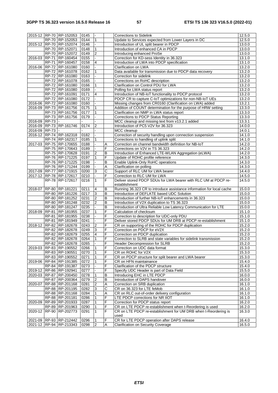|               | 2015-12 RP-70 RP-152053            | 0145         |                         |                     | <b>Corrections to Sidelink</b>                                                    | 12.5.0              |
|---------------|------------------------------------|--------------|-------------------------|---------------------|-----------------------------------------------------------------------------------|---------------------|
|               | RP-70 RP-152053                    | 0144         | $\mathbf{1}$            |                     | Update to Services expected from Lower Layers in DC                               | 12.5.0              |
|               | 2015-12 RP-70 RP-152074            | 0146         |                         |                     | Introduction of UL split bearer in PDCP                                           | 13.0.0              |
|               | RP-70 RP-152071                    | 0148         | $\mathbf{1}$            |                     | Introduction of enhanced CA in PDCP                                               | 13.0.0              |
|               | RP-70 RP-152072                    | 0149         | 2                       |                     | Introducing enhanced ProSe                                                        | 13.0.0              |
|               | 2016-03 RP-71 RP-160454            | 0155         |                         |                     | Correction for KD-sess Identity in 36.323                                         | 13.1.0              |
|               | RP-71 RP-160457                    | 0158         | $\overline{4}$          |                     | Introduction of LWA into PDCP specification                                       | 13.1.0              |
|               | 2016-06 RP-72 RP-161080            | 0160         |                         |                     | Clarification on LWA                                                              | 13.2.0              |
|               | RP-72 RP-161078                    | 0162         |                         |                     | Data available for transmission due to PDCP data recovery                         | 13.2.0              |
|               | RP-72 RP-161080                    | 0163         |                         |                     | Correction for sidelink                                                           | 13.2.0              |
|               | RP-72 RP-161078                    | 0165         |                         |                     | Corrections on RoHC description                                                   | 13.2.0              |
|               | RP-72 RP-161080                    | 0166         | $\mathbf{1}$            |                     | Clarification on Control PDU for LWA                                              | 13.2.0              |
|               | RP-72 RP-161080                    | 0169         |                         |                     | Polling for LWA status report                                                     | 13.2.0              |
|               | RP-72 RP-161091                    | 0171         | 4                       |                     | Introduction of NB-IoT functionality to PDCP protocol                             | 13.2.0              |
|               | RP-72 RP-161080                    | 0172         |                         |                     | PDCP CR to capture C-IoT optimizations for non-NB-IoT UEs                         | 13.2.0              |
| 2016-06       | RP-72 RP-161080                    | 0160         |                         |                     | Missing changes from CR0160 (Clarification on LWA) added                          | 13.2.1              |
|               | 2016-09 RP-73 RP-161756            | 0175         | $\mathbf{1}$            |                     | Addition of COUNT determination for the purpose of HRW setting                    | 13.3.0              |
|               | RP-73 RP-161756                    | 0177         | 1                       |                     | Clarification on NMP in LWA status report                                         | 13.3.0              |
|               | RP-73 RP-161756                    | 0179         |                         |                     | Corrections to PDCP Status Reporting                                              | 13.3.0              |
| 2016-09 RP-73 |                                    |              |                         |                     | MCC cleanup and missing text from v13.2.1 added                                   | $13.\overline{3.1}$ |
|               | 2016-09 RP-73 RP-161746            | 0174         | $\overline{2}$          |                     | Introduction of PC5 V2V for 36.323                                                | 14.0.0              |
| 2016-09 RP-73 |                                    |              |                         |                     | MCC cleanup                                                                       | 14.0.1              |
|               | 2016-12 RP-74 RP-162318            | 0182         |                         |                     | Correction of security handling upon connection suspension                        | 14.1.0              |
|               | RP-74 RP-162317                    | 0185         | 1                       |                     | Corrections to handling of uplink split                                           | 14.1.0              |
|               | 2017-03 RP-75 RP-170655            | 0188         |                         | Α                   | Correction on channel bandwidth definition for NB-IoT                             | 14.2.0              |
|               | RP-75 RP-170643                    | 0189         |                         | F                   | Corrections on V2V in TS 36.323                                                   | 14.2.0              |
|               | RP-75 RP-170628                    | 0191         | $\overline{2}$          | $\sf B$<br>F        | Introduction of Enhanced LTE-WLAN Aggregation (eLWA)                              | 14.2.0              |
|               | RP-76 RP-171225<br>RP-76 RP-171225 | 0197<br>0198 | $\mathbf{1}$            | B                   | Update of ROHC profile reference                                                  | 14.3.0<br>14.3.0    |
|               | RP-76 RP-171244                    |              |                         |                     | Enable Uplink-Only RoHC operations                                                | 14.3.0              |
|               | 2017-09 RP-77 RP-171915            | 0199<br>0200 | 3                       | А<br>$\overline{c}$ | Clarification on polling<br>Support of RLC UM for LWA bearer                      | 14.4.0              |
|               | 2017-12 RP-78 RP-172617            | 0210         |                         | F                   | Correction to RLC UM for LWA                                                      | 14.5.0              |
|               | RP-78 RP-172617                    | 0216         | $\mathbf{1}$            | F                   | Deliver stored PDCP SDUs for LWA bearer with RLC UM at PDCP re-                   | 14.5.0              |
|               |                                    |              |                         |                     | establishment                                                                     |                     |
|               | 2018-07 RP-80 RP-181221            | 0211         | $\overline{4}$          | B                   | Running 36.323 CR to introduce assistance information for local cache             | 15.0.0              |
|               | RP-80 RP-181226                    | 0217         | $\overline{3}$          | B                   | Introduction of DEFLATE based UDC Solution                                        | 15.0.0              |
|               | RP-80 RP-181252                    | 0231         | $\overline{2}$          | $\overline{B}$      | Introduction of further NB-IoT enhancements in 36.323                             | 15.0.0              |
|               | RP-80 RP-181248                    | 0232         | $\boldsymbol{2}$        | B                   | Introduction of V2X duplication to TS 36.323                                      | 15.0.0              |
|               | RP-80 RP-181247                    | 0235         |                         | B                   | Introduction of Ultra Reliable Low Latency Communication for LTE                  | 15.0.0              |
|               | 2018-09 RP-81 RP-181955            | 0237         | 1                       | F                   | Calculation of checksum                                                           | 15.1.0              |
|               | RP-81 RP-181955                    | 0238         |                         | F                   | Correction to description for UDC-only PDU                                        | 15.1.0              |
|               | RP-81 RP-181949                    | 0241         |                         | F                   | Deliver stored PDCP SDUs for UM DRB at PDCP re-establishment                      | 15.1.0              |
|               | 2018-12 RP-82 RP-182678            | 0243         | $\overline{2}$          | F                   | CR on supporting of the ROHC for PDCP duplication                                 | 15.2.0              |
|               | RP-82 RP-182678                    | 0249         | 3                       | F                   | Correction on PDCP for eV2X                                                       | 15.2.0              |
|               | RP-82 RP-182679                    | 0255         | 4                       | F                   | Correction on PDCP duplication                                                    | 15.2.0              |
|               | RP-82 RP-182678                    | 0264         | $\mathbf{1}$            | F                   | Correction to SLRB and state variables for sidelink transmission                  | 15.2.0              |
|               | RP-82 RP-182678                    | 0265         |                         | F                   | Header Decompression for SLRB                                                     | 15.2.0              |
|               | 2019-03 RP-83 RP-190552            | 0266         | $\overline{1}$          | F                   | Correction on UDC data format                                                     | 15.3.0              |
|               | RP-83 RP-190551                    | 0270         | 1                       | F                   | CR on ROHC for V2X                                                                | 15.3.0              |
|               | RP-83 RP-190552                    | 0271         | $\mathbf{1}$            | F                   | CR on PDCP structure for split bearer and LWA bearer                              | 15.3.0              |
|               | 2019-06 RP-84 RP-191385            | 0272         | $\mathbf{1}$            | F                   | CR on HFN maintainance                                                            | 15.4.0              |
|               | RP-84 RP-191387                    | 0273         |                         | F                   | Clarification of the PDCP structure                                               | 15.4.0              |
|               | 2019-12 RP-86 RP-192941            | 0277         |                         | F                   | Specify UDC Header is part of Data Field                                          | 15.5.0              |
|               | 2020-03 RP-87 RP-200450            | 0278         | $\mathbf{1}$            | В                   | Introducing EHC in LTE PDCP                                                       | 16.0.0              |
|               | RP-87 RP-200364                    | 0279         | $\overline{\mathbf{c}}$ | B                   | Introduction of DAPS handover                                                     | 16.0.0              |
|               | 2020-07 RP-88 RP-201168            | 0281         | $\overline{\mathbf{c}}$ | Α                   | Correction on SRB duplication                                                     | 16.1.0              |
|               | RP-88 RP-201195                    | 0282         | 3                       | С                   | CR on 36.323 for LTE feMob                                                        | 16.1.0              |
|               | RP-88 RP-201168<br>RP-88 RP-201181 | 0284<br>0286 | 1                       | Α<br>F              | CR on RLC out-of-order delivery configuration<br>LTE PDCP corrections for NR IIOT | 16.1.0<br>16.1.0    |
|               | 2020-09 RP-89 RP-201933            | 0287         |                         | F                   | Correction for PDCP status report                                                 | 16.2.0              |
|               | RP-89 RP-201963                    | 0290         |                         | F                   | CR on LTE PDCP re-establishment when t-Reordering is used                         | 16.2.0              |
|               | 2020-12 RP-90 RP-202773            | 0291         | $\mathbf{1}$            | F                   | CR on LTE PDCP re-establishment for UM DRB when t-Reordering is                   | 16.3.0              |
|               |                                    |              |                         |                     | used                                                                              |                     |
|               | 2021-09 RP-93 RP-212442            | 0296         | $\mathbf{1}$            | F                   | CR for LTE PDCP operation after DAPS release                                      | 16.4.0              |
|               | 2021-12 RP-94 RP-213343            | 0298         | $\overline{2}$          | Α                   | <b>Clarification on Security Coverage</b>                                         | 16.5.0              |
|               |                                    |              |                         |                     |                                                                                   |                     |